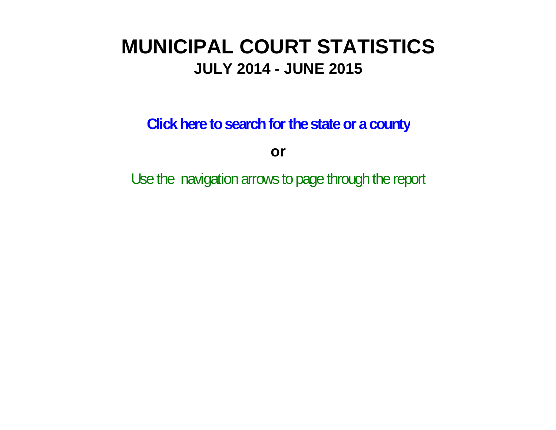# **MUNICIPAL COURT STATISTICSJULY 2014 - JUNE 2015**

**Click here to search for the state or a county**

**or**

Use the navigation arrows to page through the report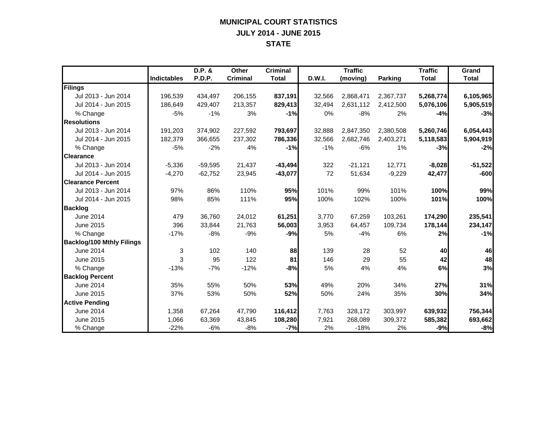#### **MUNICIPAL COURT STATISTICS JULY 2014 - JUNE 2015 STATE**

|                                  |                    | D.P. &    | Other           | <b>Criminal</b> |        | <b>Traffic</b> |           | <b>Traffic</b> | Grand        |
|----------------------------------|--------------------|-----------|-----------------|-----------------|--------|----------------|-----------|----------------|--------------|
|                                  | <b>Indictables</b> | P.D.P.    | <b>Criminal</b> | <b>Total</b>    | D.W.I. | (moving)       | Parking   | <b>Total</b>   | <b>Total</b> |
| Filings                          |                    |           |                 |                 |        |                |           |                |              |
| Jul 2013 - Jun 2014              | 196,539            | 434,497   | 206,155         | 837,191         | 32,566 | 2,868,471      | 2,367,737 | 5,268,774      | 6,105,965    |
| Jul 2014 - Jun 2015              | 186,649            | 429,407   | 213,357         | 829,413         | 32,494 | 2,631,112      | 2,412,500 | 5,076,106      | 5,905,519    |
| % Change                         | $-5%$              | $-1%$     | 3%              | $-1%$           | 0%     | $-8%$          | 2%        | $-4%$          | $-3%$        |
| <b>Resolutions</b>               |                    |           |                 |                 |        |                |           |                |              |
| Jul 2013 - Jun 2014              | 191.203            | 374,902   | 227,592         | 793,697         | 32,888 | 2,847,350      | 2,380,508 | 5,260,746      | 6,054,443    |
| Jul 2014 - Jun 2015              | 182,379            | 366,655   | 237,302         | 786,336         | 32,566 | 2,682,746      | 2,403,271 | 5,118,583      | 5,904,919    |
| % Change                         | $-5%$              | $-2%$     | 4%              | $-1%$           | $-1%$  | $-6%$          | 1%        | $-3%$          | $-2%$        |
| <b>Clearance</b>                 |                    |           |                 |                 |        |                |           |                |              |
| Jul 2013 - Jun 2014              | $-5,336$           | $-59,595$ | 21,437          | $-43,494$       | 322    | $-21,121$      | 12,771    | $-8,028$       | $-51,522$    |
| Jul 2014 - Jun 2015              | $-4,270$           | $-62,752$ | 23,945          | $-43,077$       | 72     | 51,634         | $-9,229$  | 42,477         | $-600$       |
| <b>Clearance Percent</b>         |                    |           |                 |                 |        |                |           |                |              |
| Jul 2013 - Jun 2014              | 97%                | 86%       | 110%            | 95%             | 101%   | 99%            | 101%      | 100%           | 99%          |
| Jul 2014 - Jun 2015              | 98%                | 85%       | 111%            | 95%             | 100%   | 102%           | 100%      | 101%           | 100%         |
| <b>Backlog</b>                   |                    |           |                 |                 |        |                |           |                |              |
| June 2014                        | 479                | 36,760    | 24,012          | 61,251          | 3.770  | 67,259         | 103,261   | 174,290        | 235,541      |
| June 2015                        | 396                | 33,844    | 21,763          | 56,003          | 3,953  | 64,457         | 109,734   | 178,144        | 234,147      |
| % Change                         | $-17%$             | $-8%$     | $-9%$           | $-9%$           | 5%     | $-4%$          | 6%        | 2%             | $-1%$        |
| <b>Backlog/100 Mthly Filings</b> |                    |           |                 |                 |        |                |           |                |              |
| <b>June 2014</b>                 | 3                  | 102       | 140             | 88              | 139    | 28             | 52        | 40             | 46           |
| June 2015                        | 3                  | 95        | 122             | 81              | 146    | 29             | 55        | 42             | 48           |
| % Change                         | $-13%$             | $-7%$     | $-12%$          | $-8%$           | 5%     | 4%             | 4%        | 6%             | 3%           |
| <b>Backlog Percent</b>           |                    |           |                 |                 |        |                |           |                |              |
| June 2014                        | 35%                | 55%       | 50%             | 53%             | 49%    | 20%            | 34%       | 27%            | 31%          |
| June 2015                        | 37%                | 53%       | 50%             | 52%             | 50%    | 24%            | 35%       | 30%            | 34%          |
| <b>Active Pending</b>            |                    |           |                 |                 |        |                |           |                |              |
| <b>June 2014</b>                 | 1,358              | 67,264    | 47,790          | 116,412         | 7,763  | 328,172        | 303,997   | 639,932        | 756,344      |
| June 2015                        | 1,066              | 63,369    | 43,845          | 108,280         | 7,921  | 268,089        | 309,372   | 585,382        | 693,662      |
| % Change                         | $-22%$             | $-6%$     | $-8%$           | $-7%$           | 2%     | $-18%$         | 2%        | $-9%$          | $-8%$        |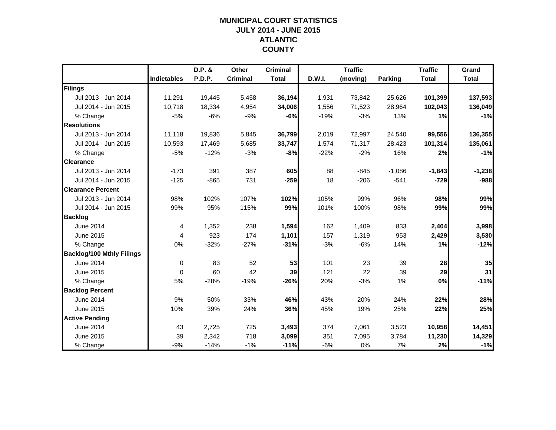## **MUNICIPAL COURT STATISTICSJULY 2014 - JUNE 2015 ATLANTIC COUNTY**

|                                  |                    | D.P. &        | Other           | <b>Criminal</b> |        | <b>Traffic</b> |                | <b>Traffic</b> | Grand        |
|----------------------------------|--------------------|---------------|-----------------|-----------------|--------|----------------|----------------|----------------|--------------|
|                                  | <b>Indictables</b> | <b>P.D.P.</b> | <b>Criminal</b> | <b>Total</b>    | D.W.I. | (moving)       | <b>Parking</b> | <b>Total</b>   | <b>Total</b> |
| Filings                          |                    |               |                 |                 |        |                |                |                |              |
| Jul 2013 - Jun 2014              | 11,291             | 19,445        | 5,458           | 36,194          | 1,931  | 73,842         | 25,626         | 101,399        | 137,593      |
| Jul 2014 - Jun 2015              | 10,718             | 18,334        | 4,954           | 34,006          | 1,556  | 71,523         | 28,964         | 102,043        | 136,049      |
| % Change                         | $-5%$              | $-6%$         | $-9%$           | -6%             | $-19%$ | $-3%$          | 13%            | 1%             | $-1%$        |
| <b>Resolutions</b>               |                    |               |                 |                 |        |                |                |                |              |
| Jul 2013 - Jun 2014              | 11,118             | 19,836        | 5,845           | 36,799          | 2,019  | 72,997         | 24,540         | 99,556         | 136,355      |
| Jul 2014 - Jun 2015              | 10,593             | 17,469        | 5,685           | 33,747          | 1,574  | 71,317         | 28,423         | 101,314        | 135,061      |
| % Change                         | $-5%$              | $-12%$        | $-3%$           | $-8%$           | $-22%$ | $-2%$          | 16%            | 2%             | $-1%$        |
| <b>Clearance</b>                 |                    |               |                 |                 |        |                |                |                |              |
| Jul 2013 - Jun 2014              | $-173$             | 391           | 387             | 605             | 88     | $-845$         | $-1,086$       | $-1,843$       | $-1,238$     |
| Jul 2014 - Jun 2015              | $-125$             | $-865$        | 731             | $-259$          | 18     | $-206$         | $-541$         | $-729$         | $-988$       |
| <b>Clearance Percent</b>         |                    |               |                 |                 |        |                |                |                |              |
| Jul 2013 - Jun 2014              | 98%                | 102%          | 107%            | 102%            | 105%   | 99%            | 96%            | 98%            | 99%          |
| Jul 2014 - Jun 2015              | 99%                | 95%           | 115%            | 99%             | 101%   | 100%           | 98%            | 99%            | 99%          |
| <b>Backlog</b>                   |                    |               |                 |                 |        |                |                |                |              |
| June 2014                        | 4                  | 1,352         | 238             | 1,594           | 162    | 1,409          | 833            | 2,404          | 3,998        |
| June 2015                        | 4                  | 923           | 174             | 1,101           | 157    | 1,319          | 953            | 2,429          | 3,530        |
| % Change                         | 0%                 | $-32%$        | $-27%$          | $-31%$          | $-3%$  | $-6%$          | 14%            | 1%             | $-12%$       |
| <b>Backlog/100 Mthly Filings</b> |                    |               |                 |                 |        |                |                |                |              |
| <b>June 2014</b>                 | 0                  | 83            | 52              | 53              | 101    | 23             | 39             | 28             | 35           |
| June 2015                        | $\Omega$           | 60            | 42              | 39              | 121    | 22             | 39             | 29             | 31           |
| % Change                         | 5%                 | $-28%$        | $-19%$          | $-26%$          | 20%    | $-3%$          | 1%             | 0%             | $-11%$       |
| <b>Backlog Percent</b>           |                    |               |                 |                 |        |                |                |                |              |
| June 2014                        | 9%                 | 50%           | 33%             | 46%             | 43%    | 20%            | 24%            | 22%            | 28%          |
| June 2015                        | 10%                | 39%           | 24%             | 36%             | 45%    | 19%            | 25%            | 22%            | 25%          |
| <b>Active Pending</b>            |                    |               |                 |                 |        |                |                |                |              |
| June 2014                        | 43                 | 2,725         | 725             | 3,493           | 374    | 7,061          | 3,523          | 10,958         | 14,451       |
| June 2015                        | 39                 | 2,342         | 718             | 3,099           | 351    | 7,095          | 3,784          | 11,230         | 14,329       |
| % Change                         | $-9%$              | $-14%$        | $-1%$           | $-11%$          | $-6%$  | 0%             | 7%             | 2%             | $-1%$        |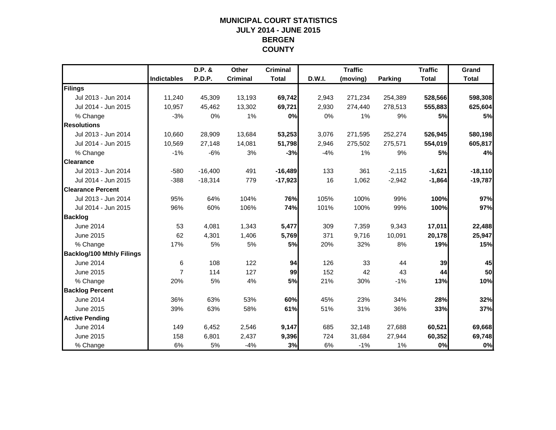## **MUNICIPAL COURT STATISTICSJULY 2014 - JUNE 2015 BERGEN COUNTY**

|                                  |                    | D.P. &        | Other           | <b>Criminal</b> |        | <b>Traffic</b> |                | <b>Traffic</b> | Grand        |
|----------------------------------|--------------------|---------------|-----------------|-----------------|--------|----------------|----------------|----------------|--------------|
|                                  | <b>Indictables</b> | <b>P.D.P.</b> | <b>Criminal</b> | <b>Total</b>    | D.W.I. | (moving)       | <b>Parking</b> | <b>Total</b>   | <b>Total</b> |
| Filings                          |                    |               |                 |                 |        |                |                |                |              |
| Jul 2013 - Jun 2014              | 11,240             | 45,309        | 13,193          | 69,742          | 2,943  | 271,234        | 254,389        | 528,566        | 598,308      |
| Jul 2014 - Jun 2015              | 10,957             | 45,462        | 13,302          | 69,721          | 2,930  | 274,440        | 278,513        | 555,883        | 625,604      |
| % Change                         | $-3%$              | 0%            | 1%              | 0%              | 0%     | 1%             | 9%             | 5%             | 5%           |
| <b>Resolutions</b>               |                    |               |                 |                 |        |                |                |                |              |
| Jul 2013 - Jun 2014              | 10,660             | 28,909        | 13,684          | 53,253          | 3,076  | 271,595        | 252,274        | 526,945        | 580,198      |
| Jul 2014 - Jun 2015              | 10,569             | 27,148        | 14,081          | 51,798          | 2,946  | 275,502        | 275,571        | 554,019        | 605,817      |
| % Change                         | $-1%$              | $-6%$         | 3%              | $-3%$           | $-4%$  | 1%             | 9%             | 5%             | 4%           |
| <b>Clearance</b>                 |                    |               |                 |                 |        |                |                |                |              |
| Jul 2013 - Jun 2014              | $-580$             | $-16,400$     | 491             | $-16,489$       | 133    | 361            | $-2,115$       | $-1,621$       | $-18,110$    |
| Jul 2014 - Jun 2015              | $-388$             | $-18,314$     | 779             | $-17,923$       | 16     | 1,062          | $-2,942$       | $-1,864$       | $-19,787$    |
| <b>Clearance Percent</b>         |                    |               |                 |                 |        |                |                |                |              |
| Jul 2013 - Jun 2014              | 95%                | 64%           | 104%            | 76%             | 105%   | 100%           | 99%            | 100%           | 97%          |
| Jul 2014 - Jun 2015              | 96%                | 60%           | 106%            | 74%             | 101%   | 100%           | 99%            | 100%           | 97%          |
| <b>Backlog</b>                   |                    |               |                 |                 |        |                |                |                |              |
| June 2014                        | 53                 | 4,081         | 1,343           | 5,477           | 309    | 7,359          | 9,343          | 17,011         | 22,488       |
| June 2015                        | 62                 | 4,301         | 1,406           | 5,769           | 371    | 9,716          | 10,091         | 20,178         | 25,947       |
| % Change                         | 17%                | 5%            | 5%              | 5%              | 20%    | 32%            | 8%             | 19%            | 15%          |
| <b>Backlog/100 Mthly Filings</b> |                    |               |                 |                 |        |                |                |                |              |
| June 2014                        | 6                  | 108           | 122             | 94              | 126    | 33             | 44             | 39             | 45           |
| June 2015                        | $\overline{7}$     | 114           | 127             | 99              | 152    | 42             | 43             | 44             | 50           |
| % Change                         | 20%                | 5%            | 4%              | 5%              | 21%    | 30%            | $-1%$          | 13%            | 10%          |
| <b>Backlog Percent</b>           |                    |               |                 |                 |        |                |                |                |              |
| June 2014                        | 36%                | 63%           | 53%             | 60%             | 45%    | 23%            | 34%            | 28%            | 32%          |
| June 2015                        | 39%                | 63%           | 58%             | 61%             | 51%    | 31%            | 36%            | 33%            | 37%          |
| <b>Active Pending</b>            |                    |               |                 |                 |        |                |                |                |              |
| June 2014                        | 149                | 6,452         | 2,546           | 9,147           | 685    | 32,148         | 27,688         | 60,521         | 69,668       |
| June 2015                        | 158                | 6,801         | 2,437           | 9,396           | 724    | 31,684         | 27,944         | 60,352         | 69,748       |
| % Change                         | 6%                 | 5%            | $-4%$           | 3%              | 6%     | $-1%$          | 1%             | 0%             | 0%           |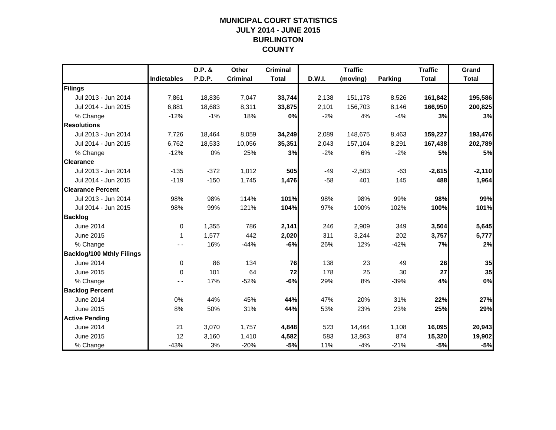## **MUNICIPAL COURT STATISTICSJULY 2014 - JUNE 2015 BURLINGTON COUNTY**

|                                  |                    | D.P. & | Other           | <b>Criminal</b> |        | <b>Traffic</b> |                | <b>Traffic</b> | Grand        |
|----------------------------------|--------------------|--------|-----------------|-----------------|--------|----------------|----------------|----------------|--------------|
|                                  | <b>Indictables</b> | P.D.P. | <b>Criminal</b> | <b>Total</b>    | D.W.I. | (moving)       | <b>Parking</b> | <b>Total</b>   | <b>Total</b> |
| Filings                          |                    |        |                 |                 |        |                |                |                |              |
| Jul 2013 - Jun 2014              | 7,861              | 18,836 | 7,047           | 33,744          | 2,138  | 151,178        | 8,526          | 161,842        | 195,586      |
| Jul 2014 - Jun 2015              | 6,881              | 18,683 | 8,311           | 33,875          | 2,101  | 156,703        | 8,146          | 166,950        | 200,825      |
| % Change                         | $-12%$             | $-1%$  | 18%             | 0%              | $-2%$  | 4%             | $-4%$          | 3%             | 3%           |
| <b>Resolutions</b>               |                    |        |                 |                 |        |                |                |                |              |
| Jul 2013 - Jun 2014              | 7,726              | 18,464 | 8,059           | 34,249          | 2,089  | 148,675        | 8,463          | 159,227        | 193,476      |
| Jul 2014 - Jun 2015              | 6,762              | 18,533 | 10,056          | 35,351          | 2,043  | 157,104        | 8,291          | 167,438        | 202,789      |
| % Change                         | $-12%$             | 0%     | 25%             | 3%              | $-2%$  | 6%             | $-2%$          | <b>5%</b>      | 5%           |
| <b>Clearance</b>                 |                    |        |                 |                 |        |                |                |                |              |
| Jul 2013 - Jun 2014              | $-135$             | $-372$ | 1,012           | 505             | $-49$  | $-2,503$       | $-63$          | $-2,615$       | $-2,110$     |
| Jul 2014 - Jun 2015              | $-119$             | $-150$ | 1,745           | 1,476           | $-58$  | 401            | 145            | 488            | 1,964        |
| <b>Clearance Percent</b>         |                    |        |                 |                 |        |                |                |                |              |
| Jul 2013 - Jun 2014              | 98%                | 98%    | 114%            | 101%            | 98%    | 98%            | 99%            | 98%            | 99%          |
| Jul 2014 - Jun 2015              | 98%                | 99%    | 121%            | 104%            | 97%    | 100%           | 102%           | 100%           | 101%         |
| <b>Backlog</b>                   |                    |        |                 |                 |        |                |                |                |              |
| <b>June 2014</b>                 | 0                  | 1,355  | 786             | 2,141           | 246    | 2,909          | 349            | 3,504          | 5,645        |
| June 2015                        | 1                  | 1,577  | 442             | 2,020           | 311    | 3,244          | 202            | 3,757          | 5,777        |
| % Change                         |                    | 16%    | $-44%$          | $-6%$           | 26%    | 12%            | $-42%$         | 7%             | 2%           |
| <b>Backlog/100 Mthly Filings</b> |                    |        |                 |                 |        |                |                |                |              |
| June 2014                        | 0                  | 86     | 134             | 76              | 138    | 23             | 49             | 26             | 35           |
| June 2015                        | $\Omega$           | 101    | 64              | 72              | 178    | 25             | 30             | 27             | 35           |
| % Change                         | - -                | 17%    | $-52%$          | $-6%$           | 29%    | 8%             | $-39%$         | 4%             | 0%           |
| <b>Backlog Percent</b>           |                    |        |                 |                 |        |                |                |                |              |
| June 2014                        | 0%                 | 44%    | 45%             | 44%             | 47%    | 20%            | 31%            | 22%            | 27%          |
| June 2015                        | 8%                 | 50%    | 31%             | 44%             | 53%    | 23%            | 23%            | 25%            | 29%          |
| <b>Active Pending</b>            |                    |        |                 |                 |        |                |                |                |              |
| June 2014                        | 21                 | 3,070  | 1,757           | 4,848           | 523    | 14,464         | 1,108          | 16,095         | 20,943       |
| June 2015                        | 12                 | 3,160  | 1,410           | 4,582           | 583    | 13,863         | 874            | 15,320         | 19,902       |
| % Change                         | $-43%$             | 3%     | $-20%$          | $-5%$           | 11%    | $-4%$          | $-21%$         | $-5%$          | $-5%$        |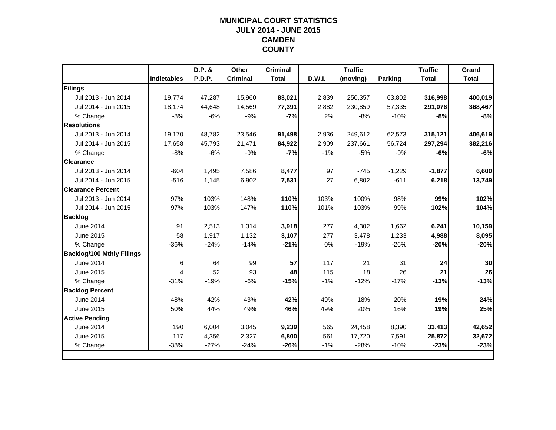## **MUNICIPAL COURT STATISTICSJULY 2014 - JUNE 2015 CAMDEN COUNTY**

|                                  |                    | D.P. & | <b>Other</b>    | <b>Criminal</b> |        | <b>Traffic</b> |          | <b>Traffic</b> | Grand        |
|----------------------------------|--------------------|--------|-----------------|-----------------|--------|----------------|----------|----------------|--------------|
|                                  | <b>Indictables</b> | P.D.P. | <b>Criminal</b> | <b>Total</b>    | D.W.I. | (moving)       | Parking  | <b>Total</b>   | <b>Total</b> |
| Filings                          |                    |        |                 |                 |        |                |          |                |              |
| Jul 2013 - Jun 2014              | 19.774             | 47,287 | 15,960          | 83,021          | 2,839  | 250,357        | 63,802   | 316,998        | 400,019      |
| Jul 2014 - Jun 2015              | 18,174             | 44,648 | 14,569          | 77,391          | 2,882  | 230,859        | 57,335   | 291,076        | 368,467      |
| % Change                         | $-8%$              | $-6%$  | $-9%$           | $-7%$           | 2%     | $-8%$          | $-10%$   | $-8%$          | $-8%$        |
| <b>Resolutions</b>               |                    |        |                 |                 |        |                |          |                |              |
| Jul 2013 - Jun 2014              | 19,170             | 48,782 | 23,546          | 91,498          | 2,936  | 249,612        | 62,573   | 315,121        | 406,619      |
| Jul 2014 - Jun 2015              | 17,658             | 45,793 | 21,471          | 84,922          | 2,909  | 237,661        | 56,724   | 297,294        | 382,216      |
| % Change                         | $-8%$              | $-6%$  | $-9%$           | $-7%$           | $-1%$  | $-5%$          | $-9%$    | $-6%$          | $-6%$        |
| <b>Clearance</b>                 |                    |        |                 |                 |        |                |          |                |              |
| Jul 2013 - Jun 2014              | $-604$             | 1,495  | 7,586           | 8,477           | 97     | $-745$         | $-1,229$ | $-1,877$       | 6,600        |
| Jul 2014 - Jun 2015              | $-516$             | 1,145  | 6,902           | 7,531           | 27     | 6,802          | $-611$   | 6,218          | 13,749       |
| <b>Clearance Percent</b>         |                    |        |                 |                 |        |                |          |                |              |
| Jul 2013 - Jun 2014              | 97%                | 103%   | 148%            | 110%            | 103%   | 100%           | 98%      | 99%            | 102%         |
| Jul 2014 - Jun 2015              | 97%                | 103%   | 147%            | 110%            | 101%   | 103%           | 99%      | 102%           | 104%         |
| <b>Backlog</b>                   |                    |        |                 |                 |        |                |          |                |              |
| June 2014                        | 91                 | 2,513  | 1,314           | 3,918           | 277    | 4,302          | 1,662    | 6,241          | 10,159       |
| June 2015                        | 58                 | 1,917  | 1,132           | 3,107           | 277    | 3,478          | 1,233    | 4,988          | 8,095        |
| % Change                         | $-36%$             | $-24%$ | $-14%$          | $-21%$          | 0%     | $-19%$         | $-26%$   | $-20%$         | $-20%$       |
| <b>Backlog/100 Mthly Filings</b> |                    |        |                 |                 |        |                |          |                |              |
| <b>June 2014</b>                 | 6                  | 64     | 99              | 57              | 117    | 21             | 31       | 24             | 30           |
| June 2015                        | 4                  | 52     | 93              | 48              | 115    | 18             | 26       | 21             | 26           |
| % Change                         | $-31%$             | $-19%$ | $-6%$           | $-15%$          | $-1%$  | $-12%$         | $-17%$   | $-13%$         | $-13%$       |
| <b>Backlog Percent</b>           |                    |        |                 |                 |        |                |          |                |              |
| June 2014                        | 48%                | 42%    | 43%             | 42%             | 49%    | 18%            | 20%      | 19%            | 24%          |
| June 2015                        | 50%                | 44%    | 49%             | 46%             | 49%    | 20%            | 16%      | 19%            | 25%          |
| <b>Active Pending</b>            |                    |        |                 |                 |        |                |          |                |              |
| June 2014                        | 190                | 6,004  | 3,045           | 9,239           | 565    | 24,458         | 8,390    | 33,413         | 42,652       |
| June 2015                        | 117                | 4,356  | 2,327           | 6,800           | 561    | 17,720         | 7,591    | 25,872         | 32,672       |
| % Change                         | $-38%$             | $-27%$ | $-24%$          | $-26%$          | $-1%$  | $-28%$         | $-10%$   | $-23%$         | $-23%$       |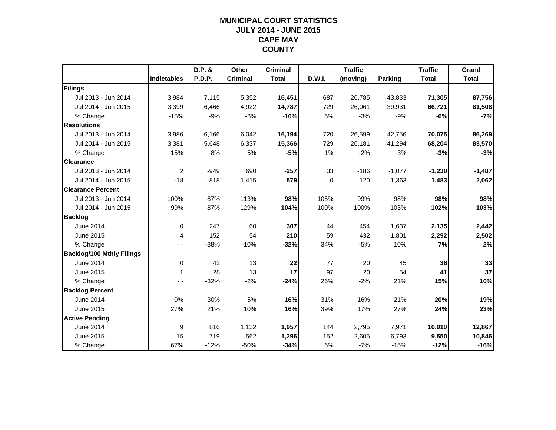## **MUNICIPAL COURT STATISTICSJULY 2014 - JUNE 2015 CAPE MAY COUNTY**

|                                  |                    | D.P. & | Other           | <b>Criminal</b> |        | <b>Traffic</b> |                | <b>Traffic</b> | Grand        |
|----------------------------------|--------------------|--------|-----------------|-----------------|--------|----------------|----------------|----------------|--------------|
|                                  | <b>Indictables</b> | P.D.P. | <b>Criminal</b> | <b>Total</b>    | D.W.I. | (moving)       | <b>Parking</b> | <b>Total</b>   | <b>Total</b> |
| Filings                          |                    |        |                 |                 |        |                |                |                |              |
| Jul 2013 - Jun 2014              | 3,984              | 7,115  | 5,352           | 16,451          | 687    | 26,785         | 43,833         | 71,305         | 87,756       |
| Jul 2014 - Jun 2015              | 3,399              | 6,466  | 4,922           | 14,787          | 729    | 26,061         | 39,931         | 66,721         | 81,508       |
| % Change                         | $-15%$             | $-9%$  | $-8%$           | $-10%$          | 6%     | $-3%$          | $-9%$          | $-6%$          | $-7%$        |
| <b>Resolutions</b>               |                    |        |                 |                 |        |                |                |                |              |
| Jul 2013 - Jun 2014              | 3,986              | 6,166  | 6,042           | 16,194          | 720    | 26,599         | 42,756         | 70,075         | 86,269       |
| Jul 2014 - Jun 2015              | 3,381              | 5,648  | 6,337           | 15,366          | 729    | 26,181         | 41,294         | 68,204         | 83,570       |
| % Change                         | $-15%$             | $-8%$  | 5%              | $-5%$           | 1%     | $-2%$          | $-3%$          | $-3%$          | $-3%$        |
| <b>Clearance</b>                 |                    |        |                 |                 |        |                |                |                |              |
| Jul 2013 - Jun 2014              | 2                  | $-949$ | 690             | $-257$          | 33     | $-186$         | $-1,077$       | $-1,230$       | $-1,487$     |
| Jul 2014 - Jun 2015              | $-18$              | $-818$ | 1,415           | 579             | 0      | 120            | 1,363          | 1,483          | 2,062        |
| <b>Clearance Percent</b>         |                    |        |                 |                 |        |                |                |                |              |
| Jul 2013 - Jun 2014              | 100%               | 87%    | 113%            | 98%             | 105%   | 99%            | 98%            | 98%            | 98%          |
| Jul 2014 - Jun 2015              | 99%                | 87%    | 129%            | 104%            | 100%   | 100%           | 103%           | 102%           | 103%         |
| <b>Backlog</b>                   |                    |        |                 |                 |        |                |                |                |              |
| June 2014                        | $\mathbf 0$        | 247    | 60              | 307             | 44     | 454            | 1,637          | 2,135          | 2,442        |
| June 2015                        | 4                  | 152    | 54              | 210             | 59     | 432            | 1,801          | 2,292          | 2,502        |
| % Change                         |                    | $-38%$ | $-10%$          | $-32%$          | 34%    | $-5%$          | 10%            | 7%             | 2%           |
| <b>Backlog/100 Mthly Filings</b> |                    |        |                 |                 |        |                |                |                |              |
| <b>June 2014</b>                 | 0                  | 42     | 13              | 22              | 77     | 20             | 45             | 36             | 33           |
| June 2015                        | 1                  | 28     | 13              | 17              | 97     | 20             | 54             | 41             | 37           |
| % Change                         | $ -$               | $-32%$ | $-2%$           | $-24%$          | 26%    | $-2%$          | 21%            | 15%            | 10%          |
| <b>Backlog Percent</b>           |                    |        |                 |                 |        |                |                |                |              |
| <b>June 2014</b>                 | 0%                 | 30%    | 5%              | 16%             | 31%    | 16%            | 21%            | 20%            | 19%          |
| June 2015                        | 27%                | 21%    | 10%             | 16%             | 39%    | 17%            | 27%            | 24%            | 23%          |
| <b>Active Pending</b>            |                    |        |                 |                 |        |                |                |                |              |
| June 2014                        | 9                  | 816    | 1,132           | 1,957           | 144    | 2,795          | 7,971          | 10,910         | 12,867       |
| June 2015                        | 15                 | 719    | 562             | 1,296           | 152    | 2,605          | 6,793          | 9,550          | 10,846       |
| % Change                         | 67%                | $-12%$ | $-50%$          | $-34%$          | 6%     | $-7%$          | $-15%$         | $-12%$         | $-16%$       |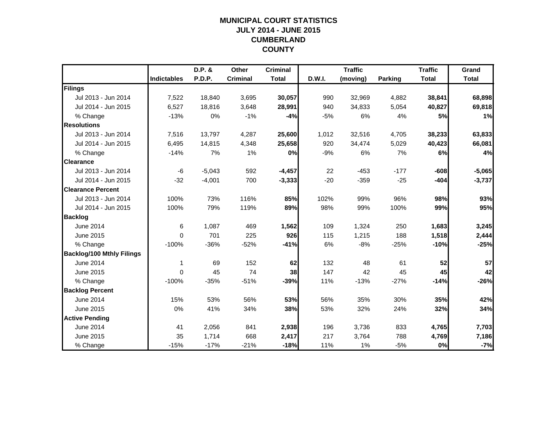## **MUNICIPAL COURT STATISTICSJULY 2014 - JUNE 2015 CUMBERLAND COUNTY**

|                                  |                    | D.P. &   | Other           | <b>Criminal</b> |        | <b>Traffic</b> |         | <b>Traffic</b> | Grand        |
|----------------------------------|--------------------|----------|-----------------|-----------------|--------|----------------|---------|----------------|--------------|
|                                  | <b>Indictables</b> | P.D.P.   | <b>Criminal</b> | <b>Total</b>    | D.W.I. | (moving)       | Parking | <b>Total</b>   | <b>Total</b> |
| Filings                          |                    |          |                 |                 |        |                |         |                |              |
| Jul 2013 - Jun 2014              | 7,522              | 18,840   | 3,695           | 30,057          | 990    | 32,969         | 4,882   | 38,841         | 68,898       |
| Jul 2014 - Jun 2015              | 6,527              | 18,816   | 3,648           | 28,991          | 940    | 34,833         | 5,054   | 40,827         | 69,818       |
| % Change                         | $-13%$             | 0%       | $-1%$           | $-4%$           | $-5%$  | 6%             | 4%      | 5%             | 1%           |
| <b>Resolutions</b>               |                    |          |                 |                 |        |                |         |                |              |
| Jul 2013 - Jun 2014              | 7,516              | 13,797   | 4,287           | 25,600          | 1,012  | 32,516         | 4,705   | 38,233         | 63,833       |
| Jul 2014 - Jun 2015              | 6,495              | 14,815   | 4,348           | 25,658          | 920    | 34,474         | 5,029   | 40,423         | 66,081       |
| % Change                         | $-14%$             | 7%       | 1%              | 0%              | $-9%$  | 6%             | 7%      | 6%             | 4%           |
| <b>Clearance</b>                 |                    |          |                 |                 |        |                |         |                |              |
| Jul 2013 - Jun 2014              | -6                 | $-5,043$ | 592             | $-4,457$        | 22     | $-453$         | $-177$  | $-608$         | $-5,065$     |
| Jul 2014 - Jun 2015              | $-32$              | $-4,001$ | 700             | $-3,333$        | $-20$  | $-359$         | $-25$   | $-404$         | $-3,737$     |
| <b>Clearance Percent</b>         |                    |          |                 |                 |        |                |         |                |              |
| Jul 2013 - Jun 2014              | 100%               | 73%      | 116%            | 85%             | 102%   | 99%            | 96%     | 98%            | 93%          |
| Jul 2014 - Jun 2015              | 100%               | 79%      | 119%            | 89%             | 98%    | 99%            | 100%    | 99%            | 95%          |
| <b>Backlog</b>                   |                    |          |                 |                 |        |                |         |                |              |
| <b>June 2014</b>                 | 6                  | 1,087    | 469             | 1,562           | 109    | 1,324          | 250     | 1,683          | 3,245        |
| June 2015                        | $\Omega$           | 701      | 225             | 926             | 115    | 1,215          | 188     | 1,518          | 2,444        |
| % Change                         | $-100%$            | $-36%$   | $-52%$          | $-41%$          | 6%     | $-8%$          | $-25%$  | $-10%$         | $-25%$       |
| <b>Backlog/100 Mthly Filings</b> |                    |          |                 |                 |        |                |         |                |              |
| <b>June 2014</b>                 | 1                  | 69       | 152             | 62              | 132    | 48             | 61      | 52             | 57           |
| June 2015                        | $\Omega$           | 45       | 74              | 38              | 147    | 42             | 45      | 45             | 42           |
| % Change                         | $-100%$            | $-35%$   | $-51%$          | $-39%$          | 11%    | $-13%$         | $-27%$  | $-14%$         | $-26%$       |
| <b>Backlog Percent</b>           |                    |          |                 |                 |        |                |         |                |              |
| June 2014                        | 15%                | 53%      | 56%             | 53%             | 56%    | 35%            | 30%     | 35%            | 42%          |
| June 2015                        | 0%                 | 41%      | 34%             | 38%             | 53%    | 32%            | 24%     | 32%            | 34%          |
| <b>Active Pending</b>            |                    |          |                 |                 |        |                |         |                |              |
| <b>June 2014</b>                 | 41                 | 2,056    | 841             | 2,938           | 196    | 3,736          | 833     | 4,765          | 7,703        |
| June 2015                        | 35                 | 1,714    | 668             | 2,417           | 217    | 3,764          | 788     | 4,769          | 7,186        |
| % Change                         | $-15%$             | $-17%$   | $-21%$          | $-18%$          | 11%    | 1%             | $-5%$   | 0%             | $-7%$        |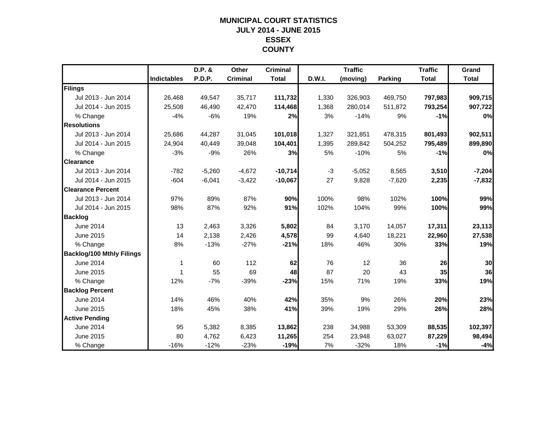## **MUNICIPAL COURT STATISTICSJULY 2014 - JUNE 2015 ESSEX COUNTY**

|                                  |                    | D.P. &        | Other           | <b>Criminal</b> |        | <b>Traffic</b> |                | <b>Traffic</b> | Grand        |
|----------------------------------|--------------------|---------------|-----------------|-----------------|--------|----------------|----------------|----------------|--------------|
|                                  | <b>Indictables</b> | <b>P.D.P.</b> | <b>Criminal</b> | <b>Total</b>    | D.W.I. | (moving)       | <b>Parking</b> | <b>Total</b>   | <b>Total</b> |
| Filings                          |                    |               |                 |                 |        |                |                |                |              |
| Jul 2013 - Jun 2014              | 26,468             | 49,547        | 35,717          | 111,732         | 1,330  | 326,903        | 469,750        | 797,983        | 909,715      |
| Jul 2014 - Jun 2015              | 25,508             | 46,490        | 42,470          | 114,468         | 1,368  | 280,014        | 511,872        | 793,254        | 907,722      |
| % Change                         | $-4%$              | $-6%$         | 19%             | 2%              | 3%     | $-14%$         | 9%             | $-1%$          | 0%           |
| <b>Resolutions</b>               |                    |               |                 |                 |        |                |                |                |              |
| Jul 2013 - Jun 2014              | 25,686             | 44,287        | 31,045          | 101,018         | 1,327  | 321,851        | 478,315        | 801,493        | 902,511      |
| Jul 2014 - Jun 2015              | 24,904             | 40,449        | 39,048          | 104,401         | 1,395  | 289,842        | 504,252        | 795,489        | 899,890      |
| % Change                         | $-3%$              | $-9%$         | 26%             | 3%              | 5%     | $-10%$         | 5%             | $-1%$          | 0%           |
| <b>Clearance</b>                 |                    |               |                 |                 |        |                |                |                |              |
| Jul 2013 - Jun 2014              | $-782$             | $-5,260$      | $-4,672$        | $-10,714$       | $-3$   | $-5,052$       | 8,565          | 3,510          | $-7,204$     |
| Jul 2014 - Jun 2015              | $-604$             | $-6,041$      | $-3,422$        | $-10,067$       | 27     | 9,828          | $-7,620$       | 2,235          | $-7,832$     |
| <b>Clearance Percent</b>         |                    |               |                 |                 |        |                |                |                |              |
| Jul 2013 - Jun 2014              | 97%                | 89%           | 87%             | 90%             | 100%   | 98%            | 102%           | 100%           | 99%          |
| Jul 2014 - Jun 2015              | 98%                | 87%           | 92%             | 91%             | 102%   | 104%           | 99%            | 100%           | 99%          |
| <b>Backlog</b>                   |                    |               |                 |                 |        |                |                |                |              |
| <b>June 2014</b>                 | 13                 | 2,463         | 3,326           | 5,802           | 84     | 3,170          | 14,057         | 17,311         | 23,113       |
| June 2015                        | 14                 | 2,138         | 2,426           | 4,578           | 99     | 4,640          | 18,221         | 22,960         | 27,538       |
| % Change                         | 8%                 | $-13%$        | $-27%$          | $-21%$          | 18%    | 46%            | 30%            | 33%            | 19%          |
| <b>Backlog/100 Mthly Filings</b> |                    |               |                 |                 |        |                |                |                |              |
| <b>June 2014</b>                 | 1                  | 60            | 112             | 62              | 76     | 12             | 36             | 26             | 30           |
| June 2015                        | 1                  | 55            | 69              | 48              | 87     | 20             | 43             | 35             | 36           |
| % Change                         | 12%                | $-7%$         | $-39%$          | $-23%$          | 15%    | 71%            | 19%            | 33%            | 19%          |
| <b>Backlog Percent</b>           |                    |               |                 |                 |        |                |                |                |              |
| <b>June 2014</b>                 | 14%                | 46%           | 40%             | 42%             | 35%    | 9%             | 26%            | 20%            | 23%          |
| June 2015                        | 18%                | 45%           | 38%             | 41%             | 39%    | 19%            | 29%            | 26%            | 28%          |
| <b>Active Pending</b>            |                    |               |                 |                 |        |                |                |                |              |
| June 2014                        | 95                 | 5,382         | 8,385           | 13,862          | 238    | 34,988         | 53,309         | 88,535         | 102,397      |
| June 2015                        | 80                 | 4,762         | 6,423           | 11,265          | 254    | 23,948         | 63,027         | 87,229         | 98,494       |
| % Change                         | $-16%$             | $-12%$        | $-23%$          | $-19%$          | 7%     | $-32%$         | 18%            | $-1%$          | $-4%$        |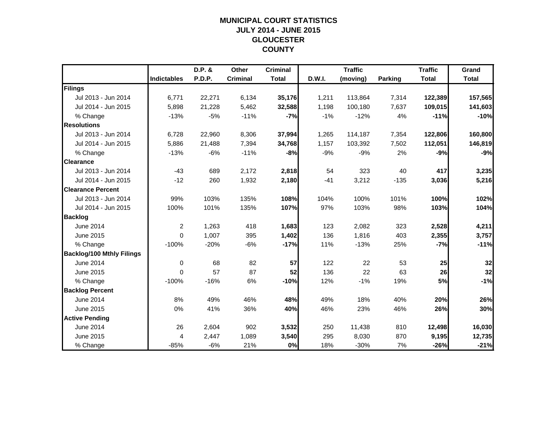## **MUNICIPAL COURT STATISTICSJULY 2014 - JUNE 2015 GLOUCESTER COUNTY**

|                                  |                    | D.P. & | Other           | <b>Criminal</b> |        | <b>Traffic</b> |         | <b>Traffic</b> | Grand        |
|----------------------------------|--------------------|--------|-----------------|-----------------|--------|----------------|---------|----------------|--------------|
|                                  | <b>Indictables</b> | P.D.P. | <b>Criminal</b> | <b>Total</b>    | D.W.I. | (moving)       | Parking | <b>Total</b>   | <b>Total</b> |
| Filings                          |                    |        |                 |                 |        |                |         |                |              |
| Jul 2013 - Jun 2014              | 6,771              | 22,271 | 6,134           | 35,176          | 1,211  | 113,864        | 7,314   | 122,389        | 157,565      |
| Jul 2014 - Jun 2015              | 5,898              | 21,228 | 5,462           | 32,588          | 1,198  | 100,180        | 7,637   | 109,015        | 141,603      |
| % Change                         | $-13%$             | $-5%$  | $-11%$          | $-7%$           | $-1%$  | $-12%$         | 4%      | $-11%$         | $-10%$       |
| <b>Resolutions</b>               |                    |        |                 |                 |        |                |         |                |              |
| Jul 2013 - Jun 2014              | 6,728              | 22,960 | 8,306           | 37,994          | 1,265  | 114,187        | 7,354   | 122,806        | 160,800      |
| Jul 2014 - Jun 2015              | 5,886              | 21,488 | 7,394           | 34,768          | 1,157  | 103,392        | 7,502   | 112,051        | 146,819      |
| % Change                         | $-13%$             | $-6%$  | $-11%$          | -8%             | $-9%$  | $-9%$          | 2%      | $-9%$          | $-9%$        |
| <b>Clearance</b>                 |                    |        |                 |                 |        |                |         |                |              |
| Jul 2013 - Jun 2014              | $-43$              | 689    | 2,172           | 2,818           | 54     | 323            | 40      | 417            | 3,235        |
| Jul 2014 - Jun 2015              | $-12$              | 260    | 1,932           | 2,180           | $-41$  | 3,212          | $-135$  | 3,036          | 5,216        |
| <b>Clearance Percent</b>         |                    |        |                 |                 |        |                |         |                |              |
| Jul 2013 - Jun 2014              | 99%                | 103%   | 135%            | 108%            | 104%   | 100%           | 101%    | 100%           | 102%         |
| Jul 2014 - Jun 2015              | 100%               | 101%   | 135%            | 107%            | 97%    | 103%           | 98%     | 103%           | 104%         |
| <b>Backlog</b>                   |                    |        |                 |                 |        |                |         |                |              |
| June 2014                        | $\overline{2}$     | 1,263  | 418             | 1,683           | 123    | 2,082          | 323     | 2,528          | 4,211        |
| June 2015                        | $\Omega$           | 1,007  | 395             | 1,402           | 136    | 1,816          | 403     | 2,355          | 3,757        |
| % Change                         | $-100%$            | $-20%$ | $-6%$           | $-17%$          | 11%    | $-13%$         | 25%     | $-7%$          | $-11%$       |
| <b>Backlog/100 Mthly Filings</b> |                    |        |                 |                 |        |                |         |                |              |
| <b>June 2014</b>                 | 0                  | 68     | 82              | 57              | 122    | 22             | 53      | 25             | 32           |
| June 2015                        | $\Omega$           | 57     | 87              | 52              | 136    | 22             | 63      | 26             | 32           |
| % Change                         | $-100%$            | $-16%$ | 6%              | $-10%$          | 12%    | $-1%$          | 19%     | 5%             | $-1%$        |
| <b>Backlog Percent</b>           |                    |        |                 |                 |        |                |         |                |              |
| <b>June 2014</b>                 | 8%                 | 49%    | 46%             | 48%             | 49%    | 18%            | 40%     | 20%            | 26%          |
| June 2015                        | 0%                 | 41%    | 36%             | 40%             | 46%    | 23%            | 46%     | 26%            | 30%          |
| <b>Active Pending</b>            |                    |        |                 |                 |        |                |         |                |              |
| June 2014                        | 26                 | 2,604  | 902             | 3,532           | 250    | 11,438         | 810     | 12,498         | 16,030       |
| June 2015                        | $\overline{4}$     | 2,447  | 1,089           | 3,540           | 295    | 8,030          | 870     | 9,195          | 12,735       |
| % Change                         | $-85%$             | $-6%$  | 21%             | 0%              | 18%    | $-30%$         | 7%      | $-26%$         | $-21%$       |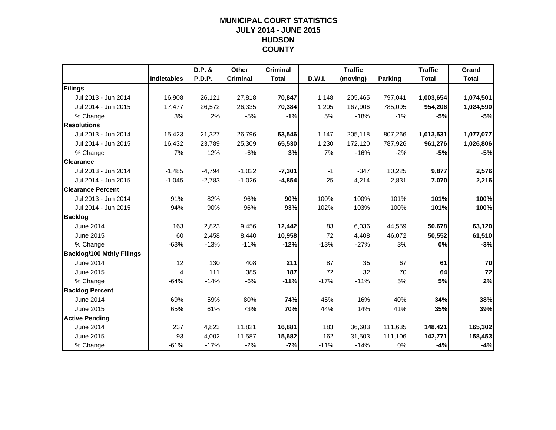## **MUNICIPAL COURT STATISTICSJULY 2014 - JUNE 2015 HUDSON COUNTY**

|                                  |                    | D.P. &        | <b>Other</b>    | <b>Criminal</b> |        | <b>Traffic</b> |                | <b>Traffic</b> | Grand        |
|----------------------------------|--------------------|---------------|-----------------|-----------------|--------|----------------|----------------|----------------|--------------|
|                                  | <b>Indictables</b> | <b>P.D.P.</b> | <b>Criminal</b> | <b>Total</b>    | D.W.I. | (moving)       | <b>Parking</b> | <b>Total</b>   | <b>Total</b> |
| Filings                          |                    |               |                 |                 |        |                |                |                |              |
| Jul 2013 - Jun 2014              | 16,908             | 26,121        | 27,818          | 70,847          | 1,148  | 205,465        | 797,041        | 1,003,654      | 1,074,501    |
| Jul 2014 - Jun 2015              | 17,477             | 26,572        | 26,335          | 70,384          | 1,205  | 167,906        | 785,095        | 954,206        | 1,024,590    |
| % Change                         | 3%                 | 2%            | $-5%$           | $-1%$           | 5%     | $-18%$         | $-1%$          | $-5%$          | $-5%$        |
| <b>Resolutions</b>               |                    |               |                 |                 |        |                |                |                |              |
| Jul 2013 - Jun 2014              | 15,423             | 21,327        | 26,796          | 63,546          | 1,147  | 205,118        | 807,266        | 1,013,531      | 1,077,077    |
| Jul 2014 - Jun 2015              | 16,432             | 23,789        | 25,309          | 65,530          | 1,230  | 172,120        | 787,926        | 961,276        | 1,026,806    |
| % Change                         | 7%                 | 12%           | $-6%$           | 3%              | 7%     | $-16%$         | $-2%$          | $-5%$          | $-5%$        |
| <b>Clearance</b>                 |                    |               |                 |                 |        |                |                |                |              |
| Jul 2013 - Jun 2014              | $-1,485$           | $-4,794$      | $-1,022$        | $-7,301$        | $-1$   | $-347$         | 10,225         | 9,877          | 2,576        |
| Jul 2014 - Jun 2015              | $-1,045$           | $-2,783$      | $-1,026$        | $-4,854$        | 25     | 4,214          | 2,831          | 7,070          | 2,216        |
| <b>Clearance Percent</b>         |                    |               |                 |                 |        |                |                |                |              |
| Jul 2013 - Jun 2014              | 91%                | 82%           | 96%             | 90%             | 100%   | 100%           | 101%           | 101%           | 100%         |
| Jul 2014 - Jun 2015              | 94%                | 90%           | 96%             | 93%             | 102%   | 103%           | 100%           | 101%           | 100%         |
| <b>Backlog</b>                   |                    |               |                 |                 |        |                |                |                |              |
| <b>June 2014</b>                 | 163                | 2,823         | 9,456           | 12,442          | 83     | 6,036          | 44,559         | 50,678         | 63,120       |
| June 2015                        | 60                 | 2,458         | 8,440           | 10,958          | 72     | 4,408          | 46,072         | 50,552         | 61,510       |
| % Change                         | $-63%$             | $-13%$        | $-11%$          | $-12%$          | $-13%$ | $-27%$         | 3%             | 0%             | $-3%$        |
| <b>Backlog/100 Mthly Filings</b> |                    |               |                 |                 |        |                |                |                |              |
| June 2014                        | 12                 | 130           | 408             | 211             | 87     | 35             | 67             | 61             | 70           |
| June 2015                        | 4                  | 111           | 385             | 187             | 72     | 32             | 70             | 64             | 72           |
| % Change                         | $-64%$             | $-14%$        | $-6%$           | $-11%$          | $-17%$ | $-11%$         | 5%             | 5%             | 2%           |
| <b>Backlog Percent</b>           |                    |               |                 |                 |        |                |                |                |              |
| June 2014                        | 69%                | 59%           | 80%             | 74%             | 45%    | 16%            | 40%            | 34%            | 38%          |
| June 2015                        | 65%                | 61%           | 73%             | 70%             | 44%    | 14%            | 41%            | 35%            | 39%          |
| <b>Active Pending</b>            |                    |               |                 |                 |        |                |                |                |              |
| June 2014                        | 237                | 4,823         | 11,821          | 16,881          | 183    | 36,603         | 111,635        | 148,421        | 165,302      |
| June 2015                        | 93                 | 4,002         | 11,587          | 15,682          | 162    | 31,503         | 111,106        | 142,771        | 158,453      |
| % Change                         | $-61%$             | $-17%$        | $-2%$           | $-7%$           | $-11%$ | $-14%$         | 0%             | $-4%$          | $-4%$        |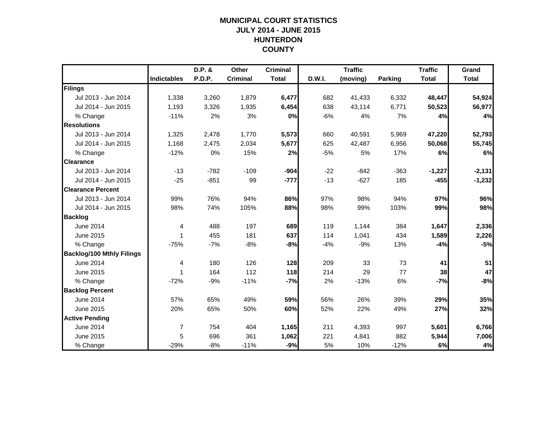## **MUNICIPAL COURT STATISTICSJULY 2014 - JUNE 2015 HUNTERDON COUNTY**

|                                  |                    | D.P. & | Other           | <b>Criminal</b> |        | <b>Traffic</b> |         | <b>Traffic</b> | Grand        |
|----------------------------------|--------------------|--------|-----------------|-----------------|--------|----------------|---------|----------------|--------------|
|                                  | <b>Indictables</b> | P.D.P. | <b>Criminal</b> | <b>Total</b>    | D.W.I. | (moving)       | Parking | <b>Total</b>   | <b>Total</b> |
| Filings                          |                    |        |                 |                 |        |                |         |                |              |
| Jul 2013 - Jun 2014              | 1,338              | 3,260  | 1,879           | 6,477           | 682    | 41,433         | 6,332   | 48,447         | 54,924       |
| Jul 2014 - Jun 2015              | 1,193              | 3,326  | 1,935           | 6,454           | 638    | 43,114         | 6,771   | 50,523         | 56,977       |
| % Change                         | $-11%$             | 2%     | 3%              | 0%              | $-6%$  | 4%             | 7%      | 4%             | 4%           |
| <b>Resolutions</b>               |                    |        |                 |                 |        |                |         |                |              |
| Jul 2013 - Jun 2014              | 1,325              | 2,478  | 1,770           | 5,573           | 660    | 40,591         | 5,969   | 47,220         | 52,793       |
| Jul 2014 - Jun 2015              | 1,168              | 2,475  | 2,034           | 5,677           | 625    | 42,487         | 6,956   | 50,068         | 55,745       |
| % Change                         | $-12%$             | 0%     | 15%             | 2%              | $-5%$  | 5%             | 17%     | 6%             | 6%           |
| <b>Clearance</b>                 |                    |        |                 |                 |        |                |         |                |              |
| Jul 2013 - Jun 2014              | $-13$              | $-782$ | $-109$          | $-904$          | $-22$  | $-842$         | $-363$  | $-1,227$       | $-2,131$     |
| Jul 2014 - Jun 2015              | $-25$              | $-851$ | 99              | $-777$          | $-13$  | $-627$         | 185     | $-455$         | $-1,232$     |
| <b>Clearance Percent</b>         |                    |        |                 |                 |        |                |         |                |              |
| Jul 2013 - Jun 2014              | 99%                | 76%    | 94%             | 86%             | 97%    | 98%            | 94%     | 97%            | 96%          |
| Jul 2014 - Jun 2015              | 98%                | 74%    | 105%            | 88%             | 98%    | 99%            | 103%    | 99%            | 98%          |
| <b>Backlog</b>                   |                    |        |                 |                 |        |                |         |                |              |
| <b>June 2014</b>                 | 4                  | 488    | 197             | 689             | 119    | 1,144          | 384     | 1,647          | 2,336        |
| June 2015                        | 1                  | 455    | 181             | 637             | 114    | 1,041          | 434     | 1,589          | 2,226        |
| % Change                         | $-75%$             | $-7%$  | $-8%$           | -8%             | $-4%$  | $-9%$          | 13%     | $-4%$          | $-5%$        |
| <b>Backlog/100 Mthly Filings</b> |                    |        |                 |                 |        |                |         |                |              |
| <b>June 2014</b>                 | 4                  | 180    | 126             | 128             | 209    | 33             | 73      | 41             | 51           |
| June 2015                        | 1                  | 164    | 112             | 118             | 214    | 29             | 77      | 38             | 47           |
| % Change                         | $-72%$             | $-9%$  | $-11%$          | $-7%$           | 2%     | $-13%$         | 6%      | $-7%$          | $-8%$        |
| <b>Backlog Percent</b>           |                    |        |                 |                 |        |                |         |                |              |
| <b>June 2014</b>                 | 57%                | 65%    | 49%             | 59%             | 56%    | 26%            | 39%     | 29%            | 35%          |
| June 2015                        | 20%                | 65%    | 50%             | 60%             | 52%    | 22%            | 49%     | 27%            | 32%          |
| <b>Active Pending</b>            |                    |        |                 |                 |        |                |         |                |              |
| June 2014                        | $\overline{7}$     | 754    | 404             | 1,165           | 211    | 4,393          | 997     | 5,601          | 6,766        |
| June 2015                        | 5                  | 696    | 361             | 1,062           | 221    | 4,841          | 882     | 5,944          | 7,006        |
| % Change                         | $-29%$             | $-8%$  | $-11%$          | $-9%$           | 5%     | 10%            | $-12%$  | 6%             | 4%           |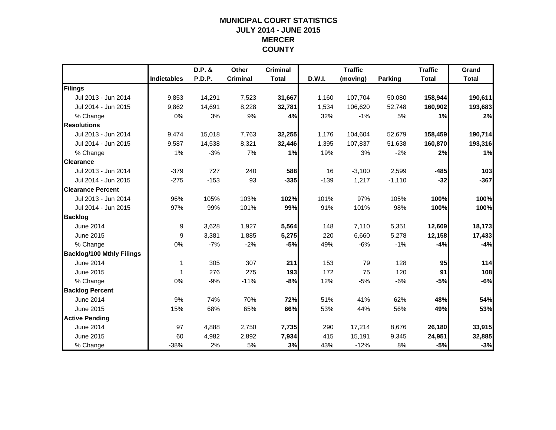## **MUNICIPAL COURT STATISTICSJULY 2014 - JUNE 2015 MERCER COUNTY**

|                                  |                    | D.P. & | Other           | <b>Criminal</b> |        | <b>Traffic</b> |                | <b>Traffic</b> | Grand        |
|----------------------------------|--------------------|--------|-----------------|-----------------|--------|----------------|----------------|----------------|--------------|
|                                  | <b>Indictables</b> | P.D.P. | <b>Criminal</b> | <b>Total</b>    | D.W.I. | (moving)       | <b>Parking</b> | <b>Total</b>   | <b>Total</b> |
| Filings                          |                    |        |                 |                 |        |                |                |                |              |
| Jul 2013 - Jun 2014              | 9,853              | 14,291 | 7,523           | 31,667          | 1,160  | 107,704        | 50,080         | 158,944        | 190,611      |
| Jul 2014 - Jun 2015              | 9,862              | 14,691 | 8,228           | 32,781          | 1,534  | 106,620        | 52,748         | 160,902        | 193,683      |
| % Change                         | 0%                 | 3%     | 9%              | 4%              | 32%    | $-1%$          | 5%             | 1%             | 2%           |
| <b>Resolutions</b>               |                    |        |                 |                 |        |                |                |                |              |
| Jul 2013 - Jun 2014              | 9,474              | 15,018 | 7,763           | 32,255          | 1,176  | 104,604        | 52,679         | 158,459        | 190,714      |
| Jul 2014 - Jun 2015              | 9,587              | 14,538 | 8,321           | 32,446          | 1,395  | 107,837        | 51,638         | 160,870        | 193,316      |
| % Change                         | 1%                 | $-3%$  | 7%              | 1%              | 19%    | 3%             | $-2%$          | 2%             | 1%           |
| <b>Clearance</b>                 |                    |        |                 |                 |        |                |                |                |              |
| Jul 2013 - Jun 2014              | $-379$             | 727    | 240             | 588             | 16     | $-3,100$       | 2,599          | $-485$         | 103          |
| Jul 2014 - Jun 2015              | $-275$             | $-153$ | 93              | $-335$          | $-139$ | 1,217          | $-1,110$       | $-32$          | $-367$       |
| <b>Clearance Percent</b>         |                    |        |                 |                 |        |                |                |                |              |
| Jul 2013 - Jun 2014              | 96%                | 105%   | 103%            | 102%            | 101%   | 97%            | 105%           | 100%           | 100%         |
| Jul 2014 - Jun 2015              | 97%                | 99%    | 101%            | 99%             | 91%    | 101%           | 98%            | 100%           | 100%         |
| <b>Backlog</b>                   |                    |        |                 |                 |        |                |                |                |              |
| June 2014                        | 9                  | 3,628  | 1,927           | 5,564           | 148    | 7,110          | 5,351          | 12,609         | 18,173       |
| June 2015                        | 9                  | 3,381  | 1,885           | 5,275           | 220    | 6,660          | 5,278          | 12,158         | 17,433       |
| % Change                         | 0%                 | $-7%$  | $-2%$           | $-5%$           | 49%    | $-6%$          | $-1%$          | $-4%$          | $-4%$        |
| <b>Backlog/100 Mthly Filings</b> |                    |        |                 |                 |        |                |                |                |              |
| <b>June 2014</b>                 | 1                  | 305    | 307             | 211             | 153    | 79             | 128            | 95             | 114          |
| June 2015                        | 1                  | 276    | 275             | 193             | 172    | 75             | 120            | 91             | 108          |
| % Change                         | 0%                 | $-9%$  | $-11%$          | $-8%$           | 12%    | $-5%$          | $-6%$          | $-5%$          | $-6%$        |
| <b>Backlog Percent</b>           |                    |        |                 |                 |        |                |                |                |              |
| <b>June 2014</b>                 | 9%                 | 74%    | 70%             | 72%             | 51%    | 41%            | 62%            | 48%            | 54%          |
| June 2015                        | 15%                | 68%    | 65%             | 66%             | 53%    | 44%            | 56%            | 49%            | 53%          |
| <b>Active Pending</b>            |                    |        |                 |                 |        |                |                |                |              |
| June 2014                        | 97                 | 4,888  | 2,750           | 7,735           | 290    | 17,214         | 8,676          | 26,180         | 33,915       |
| June 2015                        | 60                 | 4,982  | 2,892           | 7,934           | 415    | 15,191         | 9,345          | 24,951         | 32,885       |
| % Change                         | $-38%$             | 2%     | 5%              | 3%              | 43%    | $-12%$         | 8%             | $-5%$          | $-3%$        |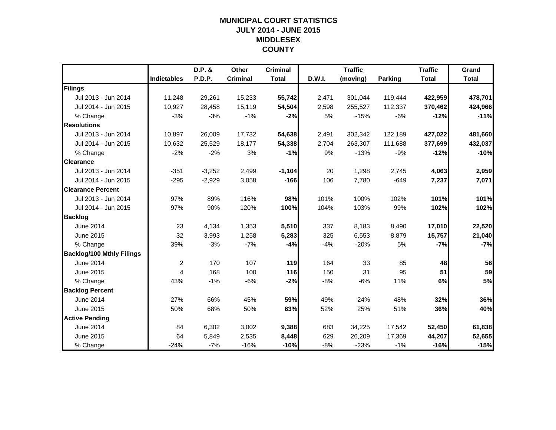## **MUNICIPAL COURT STATISTICSJULY 2014 - JUNE 2015 MIDDLESEX COUNTY**

|                                  |                    | D.P. &   | <b>Other</b>    | <b>Criminal</b> |        | <b>Traffic</b> |                | <b>Traffic</b> | Grand        |
|----------------------------------|--------------------|----------|-----------------|-----------------|--------|----------------|----------------|----------------|--------------|
|                                  | <b>Indictables</b> | P.D.P.   | <b>Criminal</b> | <b>Total</b>    | D.W.I. | (moving)       | <b>Parking</b> | <b>Total</b>   | <b>Total</b> |
| Filings                          |                    |          |                 |                 |        |                |                |                |              |
| Jul 2013 - Jun 2014              | 11,248             | 29,261   | 15,233          | 55,742          | 2,471  | 301,044        | 119,444        | 422,959        | 478,701      |
| Jul 2014 - Jun 2015              | 10,927             | 28,458   | 15,119          | 54,504          | 2,598  | 255,527        | 112,337        | 370,462        | 424,966      |
| % Change                         | $-3%$              | $-3%$    | $-1%$           | $-2%$           | 5%     | $-15%$         | $-6%$          | $-12%$         | $-11%$       |
| <b>Resolutions</b>               |                    |          |                 |                 |        |                |                |                |              |
| Jul 2013 - Jun 2014              | 10,897             | 26,009   | 17,732          | 54,638          | 2,491  | 302,342        | 122,189        | 427,022        | 481,660      |
| Jul 2014 - Jun 2015              | 10,632             | 25,529   | 18,177          | 54,338          | 2,704  | 263,307        | 111,688        | 377,699        | 432,037      |
| % Change                         | $-2%$              | $-2%$    | 3%              | $-1%$           | 9%     | $-13%$         | $-9%$          | $-12%$         | $-10%$       |
| <b>Clearance</b>                 |                    |          |                 |                 |        |                |                |                |              |
| Jul 2013 - Jun 2014              | $-351$             | $-3,252$ | 2,499           | $-1,104$        | 20     | 1,298          | 2,745          | 4,063          | 2,959        |
| Jul 2014 - Jun 2015              | $-295$             | $-2,929$ | 3,058           | $-166$          | 106    | 7,780          | $-649$         | 7,237          | 7,071        |
| <b>Clearance Percent</b>         |                    |          |                 |                 |        |                |                |                |              |
| Jul 2013 - Jun 2014              | 97%                | 89%      | 116%            | 98%             | 101%   | 100%           | 102%           | 101%           | 101%         |
| Jul 2014 - Jun 2015              | 97%                | 90%      | 120%            | 100%            | 104%   | 103%           | 99%            | 102%           | 102%         |
| <b>Backlog</b>                   |                    |          |                 |                 |        |                |                |                |              |
| <b>June 2014</b>                 | 23                 | 4,134    | 1,353           | 5,510           | 337    | 8,183          | 8,490          | 17,010         | 22,520       |
| June 2015                        | 32                 | 3,993    | 1,258           | 5,283           | 325    | 6,553          | 8,879          | 15,757         | 21,040       |
| % Change                         | 39%                | $-3%$    | $-7%$           | $-4%$           | $-4%$  | $-20%$         | 5%             | $-7%$          | $-7%$        |
| <b>Backlog/100 Mthly Filings</b> |                    |          |                 |                 |        |                |                |                |              |
| <b>June 2014</b>                 | $\overline{2}$     | 170      | 107             | 119             | 164    | 33             | 85             | 48             | 56           |
| June 2015                        | 4                  | 168      | 100             | 116             | 150    | 31             | 95             | 51             | 59           |
| % Change                         | 43%                | $-1%$    | $-6%$           | $-2%$           | $-8%$  | $-6%$          | 11%            | 6%             | 5%           |
| <b>Backlog Percent</b>           |                    |          |                 |                 |        |                |                |                |              |
| June 2014                        | 27%                | 66%      | 45%             | 59%             | 49%    | 24%            | 48%            | 32%            | 36%          |
| June 2015                        | 50%                | 68%      | 50%             | 63%             | 52%    | 25%            | 51%            | 36%            | 40%          |
| <b>Active Pending</b>            |                    |          |                 |                 |        |                |                |                |              |
| June 2014                        | 84                 | 6,302    | 3,002           | 9,388           | 683    | 34,225         | 17,542         | 52,450         | 61,838       |
| June 2015                        | 64                 | 5,849    | 2,535           | 8,448           | 629    | 26,209         | 17,369         | 44,207         | 52,655       |
| % Change                         | $-24%$             | $-7%$    | $-16%$          | $-10%$          | $-8%$  | $-23%$         | $-1%$          | $-16%$         | $-15%$       |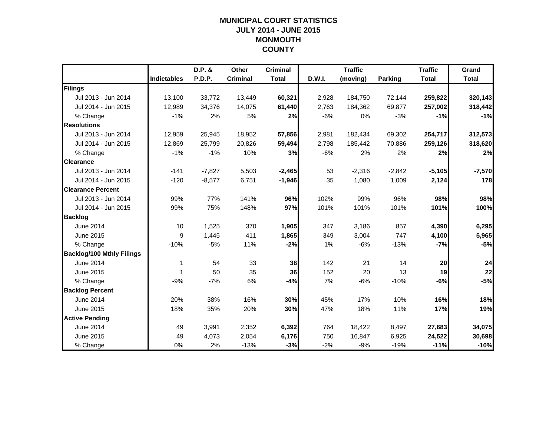## **MUNICIPAL COURT STATISTICSJULY 2014 - JUNE 2015 MONMOUTH COUNTY**

|                                  |                    | D.P. &        | Other           | <b>Criminal</b> |        | <b>Traffic</b> |                | <b>Traffic</b> | Grand        |
|----------------------------------|--------------------|---------------|-----------------|-----------------|--------|----------------|----------------|----------------|--------------|
|                                  | <b>Indictables</b> | <b>P.D.P.</b> | <b>Criminal</b> | <b>Total</b>    | D.W.I. | (moving)       | <b>Parking</b> | <b>Total</b>   | <b>Total</b> |
| Filings                          |                    |               |                 |                 |        |                |                |                |              |
| Jul 2013 - Jun 2014              | 13,100             | 33,772        | 13,449          | 60,321          | 2,928  | 184,750        | 72,144         | 259,822        | 320,143      |
| Jul 2014 - Jun 2015              | 12,989             | 34,376        | 14,075          | 61,440          | 2,763  | 184,362        | 69,877         | 257,002        | 318,442      |
| % Change                         | $-1%$              | 2%            | 5%              | 2%              | $-6%$  | 0%             | $-3%$          | $-1%$          | $-1%$        |
| <b>Resolutions</b>               |                    |               |                 |                 |        |                |                |                |              |
| Jul 2013 - Jun 2014              | 12,959             | 25,945        | 18,952          | 57,856          | 2,981  | 182,434        | 69,302         | 254,717        | 312,573      |
| Jul 2014 - Jun 2015              | 12,869             | 25,799        | 20,826          | 59,494          | 2,798  | 185,442        | 70,886         | 259,126        | 318,620      |
| % Change                         | $-1%$              | $-1%$         | 10%             | 3%              | $-6%$  | 2%             | 2%             | 2%             | 2%           |
| <b>Clearance</b>                 |                    |               |                 |                 |        |                |                |                |              |
| Jul 2013 - Jun 2014              | $-141$             | $-7,827$      | 5,503           | $-2,465$        | 53     | $-2,316$       | $-2,842$       | $-5,105$       | $-7,570$     |
| Jul 2014 - Jun 2015              | $-120$             | $-8,577$      | 6,751           | $-1,946$        | 35     | 1,080          | 1,009          | 2,124          | 178          |
| <b>Clearance Percent</b>         |                    |               |                 |                 |        |                |                |                |              |
| Jul 2013 - Jun 2014              | 99%                | 77%           | 141%            | 96%             | 102%   | 99%            | 96%            | 98%            | 98%          |
| Jul 2014 - Jun 2015              | 99%                | 75%           | 148%            | 97%             | 101%   | 101%           | 101%           | 101%           | 100%         |
| <b>Backlog</b>                   |                    |               |                 |                 |        |                |                |                |              |
| June 2014                        | 10                 | 1,525         | 370             | 1,905           | 347    | 3,186          | 857            | 4,390          | 6,295        |
| June 2015                        | 9                  | 1,445         | 411             | 1,865           | 349    | 3,004          | 747            | 4,100          | 5,965        |
| % Change                         | $-10%$             | $-5%$         | 11%             | $-2%$           | 1%     | $-6%$          | $-13%$         | $-7%$          | $-5%$        |
| <b>Backlog/100 Mthly Filings</b> |                    |               |                 |                 |        |                |                |                |              |
| June 2014                        | 1                  | 54            | 33              | 38              | 142    | 21             | 14             | 20             | 24           |
| June 2015                        | 1                  | 50            | 35              | 36              | 152    | 20             | 13             | 19             | 22           |
| % Change                         | $-9%$              | $-7%$         | 6%              | $-4%$           | 7%     | $-6%$          | $-10%$         | $-6%$          | $-5%$        |
| <b>Backlog Percent</b>           |                    |               |                 |                 |        |                |                |                |              |
| June 2014                        | 20%                | 38%           | 16%             | 30%             | 45%    | 17%            | 10%            | 16%            | 18%          |
| June 2015                        | 18%                | 35%           | 20%             | 30%             | 47%    | 18%            | 11%            | 17%            | 19%          |
| <b>Active Pending</b>            |                    |               |                 |                 |        |                |                |                |              |
| June 2014                        | 49                 | 3,991         | 2,352           | 6,392           | 764    | 18,422         | 8,497          | 27,683         | 34,075       |
| June 2015                        | 49                 | 4,073         | 2,054           | 6,176           | 750    | 16,847         | 6,925          | 24,522         | 30,698       |
| % Change                         | 0%                 | 2%            | $-13%$          | $-3%$           | $-2%$  | $-9%$          | $-19%$         | $-11%$         | $-10%$       |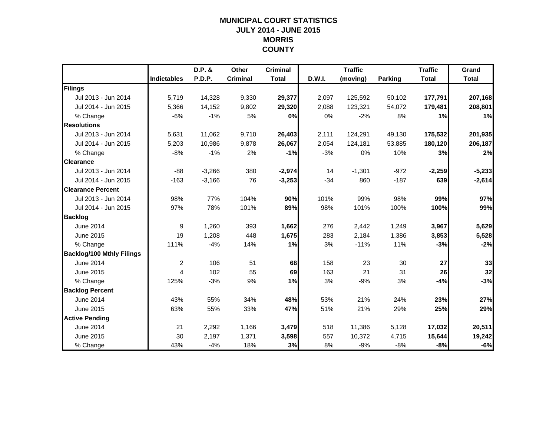## **MUNICIPAL COURT STATISTICSJULY 2014 - JUNE 2015 MORRIS COUNTY**

|                                  |                    | D.P. &   | Other           | <b>Criminal</b> |        | <b>Traffic</b> |                | <b>Traffic</b> | Grand        |
|----------------------------------|--------------------|----------|-----------------|-----------------|--------|----------------|----------------|----------------|--------------|
|                                  | <b>Indictables</b> | P.D.P.   | <b>Criminal</b> | <b>Total</b>    | D.W.I. | (moving)       | <b>Parking</b> | <b>Total</b>   | <b>Total</b> |
| Filings                          |                    |          |                 |                 |        |                |                |                |              |
| Jul 2013 - Jun 2014              | 5,719              | 14,328   | 9,330           | 29,377          | 2,097  | 125,592        | 50,102         | 177,791        | 207,168      |
| Jul 2014 - Jun 2015              | 5,366              | 14,152   | 9,802           | 29,320          | 2,088  | 123,321        | 54,072         | 179,481        | 208,801      |
| % Change                         | $-6%$              | $-1%$    | 5%              | 0%              | 0%     | $-2%$          | 8%             | 1%             | 1%           |
| <b>Resolutions</b>               |                    |          |                 |                 |        |                |                |                |              |
| Jul 2013 - Jun 2014              | 5,631              | 11,062   | 9,710           | 26,403          | 2,111  | 124,291        | 49,130         | 175,532        | 201,935      |
| Jul 2014 - Jun 2015              | 5,203              | 10,986   | 9,878           | 26,067          | 2,054  | 124,181        | 53,885         | 180,120        | 206,187      |
| % Change                         | $-8%$              | $-1%$    | 2%              | $-1%$           | $-3%$  | 0%             | 10%            | 3%             | 2%           |
| <b>Clearance</b>                 |                    |          |                 |                 |        |                |                |                |              |
| Jul 2013 - Jun 2014              | $-88$              | $-3,266$ | 380             | $-2,974$        | 14     | $-1,301$       | $-972$         | $-2,259$       | $-5,233$     |
| Jul 2014 - Jun 2015              | $-163$             | $-3,166$ | 76              | $-3,253$        | $-34$  | 860            | $-187$         | 639            | $-2,614$     |
| <b>Clearance Percent</b>         |                    |          |                 |                 |        |                |                |                |              |
| Jul 2013 - Jun 2014              | 98%                | 77%      | 104%            | 90%             | 101%   | 99%            | 98%            | 99%            | 97%          |
| Jul 2014 - Jun 2015              | 97%                | 78%      | 101%            | 89%             | 98%    | 101%           | 100%           | 100%           | 99%          |
| <b>Backlog</b>                   |                    |          |                 |                 |        |                |                |                |              |
| <b>June 2014</b>                 | 9                  | 1,260    | 393             | 1,662           | 276    | 2,442          | 1,249          | 3,967          | 5,629        |
| June 2015                        | 19                 | 1,208    | 448             | 1,675           | 283    | 2,184          | 1,386          | 3,853          | 5,528        |
| % Change                         | 111%               | $-4%$    | 14%             | 1%              | 3%     | $-11%$         | 11%            | $-3%$          | $-2%$        |
| <b>Backlog/100 Mthly Filings</b> |                    |          |                 |                 |        |                |                |                |              |
| <b>June 2014</b>                 | $\overline{c}$     | 106      | 51              | 68              | 158    | 23             | 30             | 27             | 33           |
| June 2015                        | 4                  | 102      | 55              | 69              | 163    | 21             | 31             | 26             | 32           |
| % Change                         | 125%               | $-3%$    | 9%              | 1%              | 3%     | $-9%$          | 3%             | $-4%$          | $-3%$        |
| <b>Backlog Percent</b>           |                    |          |                 |                 |        |                |                |                |              |
| <b>June 2014</b>                 | 43%                | 55%      | 34%             | 48%             | 53%    | 21%            | 24%            | 23%            | 27%          |
| June 2015                        | 63%                | 55%      | 33%             | 47%             | 51%    | 21%            | 29%            | 25%            | 29%          |
| <b>Active Pending</b>            |                    |          |                 |                 |        |                |                |                |              |
| June 2014                        | 21                 | 2,292    | 1,166           | 3,479           | 518    | 11,386         | 5,128          | 17,032         | 20,511       |
| June 2015                        | 30                 | 2,197    | 1,371           | 3,598           | 557    | 10,372         | 4,715          | 15,644         | 19,242       |
| % Change                         | 43%                | $-4%$    | 18%             | 3%              | 8%     | $-9%$          | $-8%$          | $-8%$          | $-6%$        |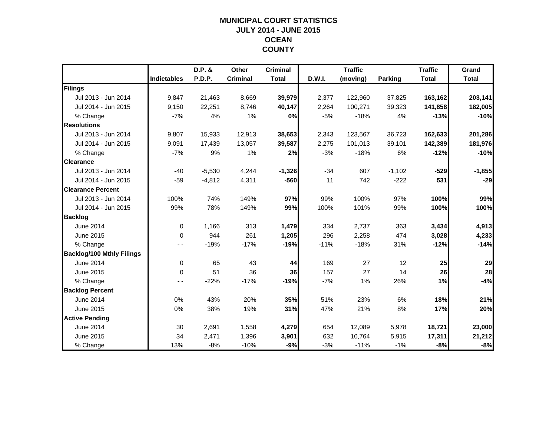## **MUNICIPAL COURT STATISTICSJULY 2014 - JUNE 2015 OCEAN COUNTY**

|                                  |                    | D.P. &        | Other           | <b>Criminal</b> |        | <b>Traffic</b> |          | <b>Traffic</b> | Grand        |
|----------------------------------|--------------------|---------------|-----------------|-----------------|--------|----------------|----------|----------------|--------------|
|                                  | <b>Indictables</b> | <b>P.D.P.</b> | <b>Criminal</b> | <b>Total</b>    | D.W.I. | (moving)       | Parking  | <b>Total</b>   | <b>Total</b> |
| Filings                          |                    |               |                 |                 |        |                |          |                |              |
| Jul 2013 - Jun 2014              | 9,847              | 21,463        | 8,669           | 39,979          | 2,377  | 122,960        | 37,825   | 163,162        | 203,141      |
| Jul 2014 - Jun 2015              | 9.150              | 22,251        | 8,746           | 40,147          | 2,264  | 100,271        | 39,323   | 141,858        | 182,005      |
| % Change                         | $-7%$              | 4%            | 1%              | 0%              | $-5%$  | $-18%$         | 4%       | $-13%$         | $-10%$       |
| <b>Resolutions</b>               |                    |               |                 |                 |        |                |          |                |              |
| Jul 2013 - Jun 2014              | 9,807              | 15,933        | 12,913          | 38,653          | 2,343  | 123,567        | 36,723   | 162,633        | 201,286      |
| Jul 2014 - Jun 2015              | 9,091              | 17,439        | 13,057          | 39,587          | 2,275  | 101,013        | 39,101   | 142,389        | 181,976      |
| % Change                         | $-7%$              | 9%            | 1%              | 2%              | $-3%$  | $-18%$         | 6%       | $-12%$         | $-10%$       |
| <b>Clearance</b>                 |                    |               |                 |                 |        |                |          |                |              |
| Jul 2013 - Jun 2014              | $-40$              | $-5,530$      | 4,244           | $-1,326$        | $-34$  | 607            | $-1,102$ | $-529$         | $-1,855$     |
| Jul 2014 - Jun 2015              | $-59$              | $-4,812$      | 4,311           | $-560$          | 11     | 742            | $-222$   | 531            | $-29$        |
| <b>Clearance Percent</b>         |                    |               |                 |                 |        |                |          |                |              |
| Jul 2013 - Jun 2014              | 100%               | 74%           | 149%            | 97%             | 99%    | 100%           | 97%      | 100%           | 99%          |
| Jul 2014 - Jun 2015              | 99%                | 78%           | 149%            | 99%             | 100%   | 101%           | 99%      | 100%           | 100%         |
| <b>Backlog</b>                   |                    |               |                 |                 |        |                |          |                |              |
| <b>June 2014</b>                 | $\mathbf 0$        | 1,166         | 313             | 1,479           | 334    | 2,737          | 363      | 3,434          | 4,913        |
| June 2015                        | $\Omega$           | 944           | 261             | 1,205           | 296    | 2,258          | 474      | 3,028          | 4,233        |
| % Change                         |                    | $-19%$        | $-17%$          | $-19%$          | $-11%$ | $-18%$         | 31%      | $-12%$         | $-14%$       |
| <b>Backlog/100 Mthly Filings</b> |                    |               |                 |                 |        |                |          |                |              |
| June 2014                        | $\mathbf 0$        | 65            | 43              | 44              | 169    | 27             | 12       | 25             | 29           |
| June 2015                        | $\mathbf{0}$       | 51            | 36              | 36              | 157    | 27             | 14       | 26             | 28           |
| % Change                         | - -                | $-22%$        | $-17%$          | $-19%$          | $-7%$  | 1%             | 26%      | 1%             | $-4%$        |
| <b>Backlog Percent</b>           |                    |               |                 |                 |        |                |          |                |              |
| June 2014                        | 0%                 | 43%           | 20%             | 35%             | 51%    | 23%            | 6%       | 18%            | 21%          |
| June 2015                        | 0%                 | 38%           | 19%             | 31%             | 47%    | 21%            | 8%       | 17%            | 20%          |
| <b>Active Pending</b>            |                    |               |                 |                 |        |                |          |                |              |
| June 2014                        | 30                 | 2,691         | 1,558           | 4,279           | 654    | 12,089         | 5,978    | 18,721         | 23,000       |
| June 2015                        | 34                 | 2,471         | 1,396           | 3,901           | 632    | 10,764         | 5,915    | 17,311         | 21,212       |
| % Change                         | 13%                | $-8%$         | $-10%$          | $-9%$           | $-3%$  | $-11%$         | $-1%$    | $-8%$          | $-8%$        |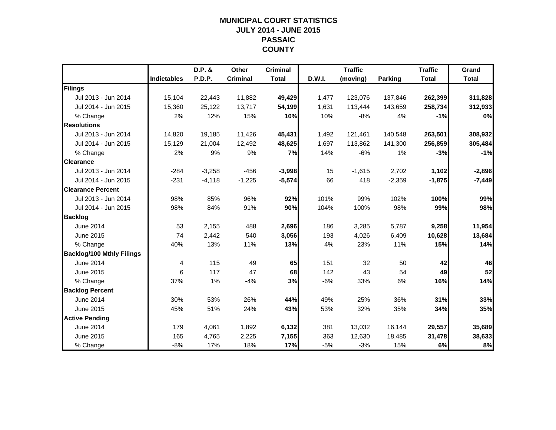## **MUNICIPAL COURT STATISTICSJULY 2014 - JUNE 2015 PASSAIC COUNTY**

|                                  |                    | D.P. &   | <b>Other</b>    | <b>Criminal</b> |        | <b>Traffic</b> |                | <b>Traffic</b> | Grand        |
|----------------------------------|--------------------|----------|-----------------|-----------------|--------|----------------|----------------|----------------|--------------|
|                                  | <b>Indictables</b> | P.D.P.   | <b>Criminal</b> | <b>Total</b>    | D.W.I. | (moving)       | <b>Parking</b> | <b>Total</b>   | <b>Total</b> |
| Filings                          |                    |          |                 |                 |        |                |                |                |              |
| Jul 2013 - Jun 2014              | 15,104             | 22,443   | 11,882          | 49,429          | 1,477  | 123,076        | 137,846        | 262,399        | 311,828      |
| Jul 2014 - Jun 2015              | 15,360             | 25,122   | 13,717          | 54,199          | 1,631  | 113,444        | 143,659        | 258,734        | 312,933      |
| % Change                         | 2%                 | 12%      | 15%             | 10%             | 10%    | $-8%$          | 4%             | $-1%$          | 0%           |
| <b>Resolutions</b>               |                    |          |                 |                 |        |                |                |                |              |
| Jul 2013 - Jun 2014              | 14,820             | 19,185   | 11,426          | 45,431          | 1,492  | 121,461        | 140,548        | 263,501        | 308,932      |
| Jul 2014 - Jun 2015              | 15,129             | 21,004   | 12,492          | 48,625          | 1,697  | 113,862        | 141,300        | 256,859        | 305,484      |
| % Change                         | 2%                 | 9%       | 9%              | 7%              | 14%    | $-6%$          | 1%             | $-3%$          | $-1%$        |
| <b>Clearance</b>                 |                    |          |                 |                 |        |                |                |                |              |
| Jul 2013 - Jun 2014              | $-284$             | $-3,258$ | $-456$          | $-3,998$        | 15     | $-1,615$       | 2,702          | 1,102          | $-2,896$     |
| Jul 2014 - Jun 2015              | $-231$             | $-4,118$ | $-1,225$        | $-5,574$        | 66     | 418            | $-2,359$       | $-1,875$       | $-7,449$     |
| <b>Clearance Percent</b>         |                    |          |                 |                 |        |                |                |                |              |
| Jul 2013 - Jun 2014              | 98%                | 85%      | 96%             | 92%             | 101%   | 99%            | 102%           | 100%           | 99%          |
| Jul 2014 - Jun 2015              | 98%                | 84%      | 91%             | 90%             | 104%   | 100%           | 98%            | 99%            | 98%          |
| <b>Backlog</b>                   |                    |          |                 |                 |        |                |                |                |              |
| <b>June 2014</b>                 | 53                 | 2,155    | 488             | 2,696           | 186    | 3,285          | 5,787          | 9,258          | 11,954       |
| June 2015                        | 74                 | 2,442    | 540             | 3,056           | 193    | 4,026          | 6,409          | 10,628         | 13,684       |
| % Change                         | 40%                | 13%      | 11%             | 13%             | 4%     | 23%            | 11%            | 15%            | 14%          |
| <b>Backlog/100 Mthly Filings</b> |                    |          |                 |                 |        |                |                |                |              |
| <b>June 2014</b>                 | 4                  | 115      | 49              | 65              | 151    | 32             | 50             | 42             | 46           |
| June 2015                        | 6                  | 117      | 47              | 68              | 142    | 43             | 54             | 49             | 52           |
| % Change                         | 37%                | 1%       | $-4%$           | 3%              | $-6%$  | 33%            | 6%             | 16%            | 14%          |
| <b>Backlog Percent</b>           |                    |          |                 |                 |        |                |                |                |              |
| June 2014                        | 30%                | 53%      | 26%             | 44%             | 49%    | 25%            | 36%            | 31%            | 33%          |
| June 2015                        | 45%                | 51%      | 24%             | 43%             | 53%    | 32%            | 35%            | 34%            | 35%          |
| <b>Active Pending</b>            |                    |          |                 |                 |        |                |                |                |              |
| June 2014                        | 179                | 4,061    | 1,892           | 6,132           | 381    | 13,032         | 16,144         | 29,557         | 35,689       |
| June 2015                        | 165                | 4,765    | 2,225           | 7,155           | 363    | 12,630         | 18,485         | 31,478         | 38,633       |
| % Change                         | $-8%$              | 17%      | 18%             | 17%             | $-5%$  | $-3%$          | 15%            | 6%             | 8%           |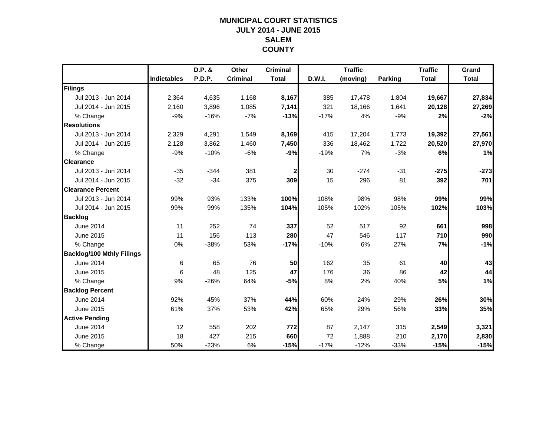## **MUNICIPAL COURT STATISTICSJULY 2014 - JUNE 2015 SALEMCOUNTY**

|                                  |                    | D.P. & | Other           | <b>Criminal</b> |        | <b>Traffic</b> |                | <b>Traffic</b> | Grand        |
|----------------------------------|--------------------|--------|-----------------|-----------------|--------|----------------|----------------|----------------|--------------|
|                                  | <b>Indictables</b> | P.D.P. | <b>Criminal</b> | <b>Total</b>    | D.W.I. | (moving)       | <b>Parking</b> | <b>Total</b>   | <b>Total</b> |
| Filings                          |                    |        |                 |                 |        |                |                |                |              |
| Jul 2013 - Jun 2014              | 2,364              | 4,635  | 1,168           | 8,167           | 385    | 17,478         | 1,804          | 19,667         | 27,834       |
| Jul 2014 - Jun 2015              | 2,160              | 3,896  | 1,085           | 7,141           | 321    | 18,166         | 1,641          | 20,128         | 27,269       |
| % Change                         | $-9%$              | $-16%$ | $-7%$           | $-13%$          | $-17%$ | 4%             | $-9%$          | 2%             | $-2%$        |
| <b>Resolutions</b>               |                    |        |                 |                 |        |                |                |                |              |
| Jul 2013 - Jun 2014              | 2,329              | 4,291  | 1,549           | 8,169           | 415    | 17,204         | 1,773          | 19,392         | 27,561       |
| Jul 2014 - Jun 2015              | 2,128              | 3,862  | 1,460           | 7,450           | 336    | 18,462         | 1,722          | 20,520         | 27,970       |
| % Change                         | $-9%$              | $-10%$ | $-6%$           | $-9%$           | $-19%$ | 7%             | $-3%$          | 6%             | 1%           |
| <b>Clearance</b>                 |                    |        |                 |                 |        |                |                |                |              |
| Jul 2013 - Jun 2014              | $-35$              | $-344$ | 381             | $\mathbf{2}$    | 30     | $-274$         | $-31$          | $-275$         | $-273$       |
| Jul 2014 - Jun 2015              | $-32$              | $-34$  | 375             | 309             | 15     | 296            | 81             | 392            | 701          |
| <b>Clearance Percent</b>         |                    |        |                 |                 |        |                |                |                |              |
| Jul 2013 - Jun 2014              | 99%                | 93%    | 133%            | 100%            | 108%   | 98%            | 98%            | 99%            | 99%          |
| Jul 2014 - Jun 2015              | 99%                | 99%    | 135%            | 104%            | 105%   | 102%           | 105%           | 102%           | 103%         |
| <b>Backlog</b>                   |                    |        |                 |                 |        |                |                |                |              |
| <b>June 2014</b>                 | 11                 | 252    | 74              | 337             | 52     | 517            | 92             | 661            | 998          |
| June 2015                        | 11                 | 156    | 113             | 280             | 47     | 546            | 117            | 710            | 990          |
| % Change                         | 0%                 | $-38%$ | 53%             | $-17%$          | $-10%$ | 6%             | 27%            | 7%             | $-1%$        |
| <b>Backlog/100 Mthly Filings</b> |                    |        |                 |                 |        |                |                |                |              |
| June 2014                        | 6                  | 65     | 76              | 50              | 162    | 35             | 61             | 40             | 43           |
| June 2015                        | 6                  | 48     | 125             | 47              | 176    | 36             | 86             | 42             | 44           |
| % Change                         | 9%                 | $-26%$ | 64%             | $-5%$           | 8%     | 2%             | 40%            | 5%             | 1%           |
| <b>Backlog Percent</b>           |                    |        |                 |                 |        |                |                |                |              |
| June 2014                        | 92%                | 45%    | 37%             | 44%             | 60%    | 24%            | 29%            | 26%            | 30%          |
| June 2015                        | 61%                | 37%    | 53%             | 42%             | 65%    | 29%            | 56%            | 33%            | 35%          |
| <b>Active Pending</b>            |                    |        |                 |                 |        |                |                |                |              |
| June 2014                        | 12                 | 558    | 202             | 772             | 87     | 2,147          | 315            | 2,549          | 3,321        |
| June 2015                        | 18                 | 427    | 215             | 660             | 72     | 1,888          | 210            | 2,170          | 2,830        |
| % Change                         | 50%                | $-23%$ | 6%              | $-15%$          | $-17%$ | $-12%$         | $-33%$         | $-15%$         | $-15%$       |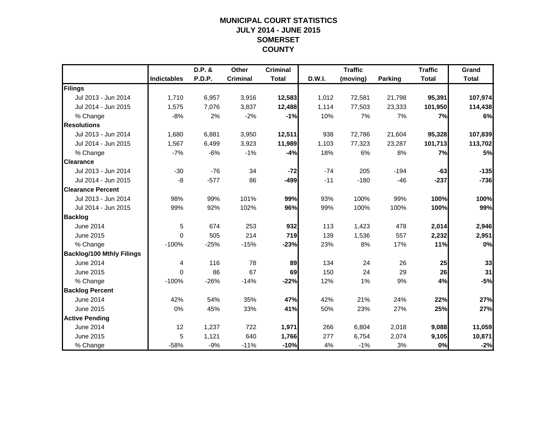## **MUNICIPAL COURT STATISTICSJULY 2014 - JUNE 2015 SOMERSET COUNTY**

|                                  |                    | D.P. &        | Other           | <b>Criminal</b> |        | <b>Traffic</b> |                | <b>Traffic</b> | Grand        |
|----------------------------------|--------------------|---------------|-----------------|-----------------|--------|----------------|----------------|----------------|--------------|
|                                  | <b>Indictables</b> | <b>P.D.P.</b> | <b>Criminal</b> | <b>Total</b>    | D.W.I. | (moving)       | <b>Parking</b> | <b>Total</b>   | <b>Total</b> |
| Filings                          |                    |               |                 |                 |        |                |                |                |              |
| Jul 2013 - Jun 2014              | 1,710              | 6,957         | 3,916           | 12,583          | 1,012  | 72,581         | 21,798         | 95,391         | 107,974      |
| Jul 2014 - Jun 2015              | 1,575              | 7,076         | 3,837           | 12,488          | 1,114  | 77,503         | 23,333         | 101,950        | 114,438      |
| % Change                         | $-8%$              | 2%            | $-2%$           | $-1%$           | 10%    | 7%             | 7%             | 7%             | 6%           |
| <b>Resolutions</b>               |                    |               |                 |                 |        |                |                |                |              |
| Jul 2013 - Jun 2014              | 1,680              | 6,881         | 3,950           | 12,511          | 938    | 72,786         | 21,604         | 95,328         | 107,839      |
| Jul 2014 - Jun 2015              | 1,567              | 6,499         | 3,923           | 11,989          | 1,103  | 77,323         | 23,287         | 101,713        | 113,702      |
| % Change                         | $-7%$              | $-6%$         | $-1%$           | $-4%$           | 18%    | 6%             | 8%             | 7%             | 5%           |
| <b>Clearance</b>                 |                    |               |                 |                 |        |                |                |                |              |
| Jul 2013 - Jun 2014              | $-30$              | $-76$         | 34              | $-72$           | $-74$  | 205            | $-194$         | $-63$          | $-135$       |
| Jul 2014 - Jun 2015              | -8                 | $-577$        | 86              | $-499$          | $-11$  | $-180$         | $-46$          | $-237$         | $-736$       |
| <b>Clearance Percent</b>         |                    |               |                 |                 |        |                |                |                |              |
| Jul 2013 - Jun 2014              | 98%                | 99%           | 101%            | 99%             | 93%    | 100%           | 99%            | 100%           | 100%         |
| Jul 2014 - Jun 2015              | 99%                | 92%           | 102%            | 96%             | 99%    | 100%           | 100%           | 100%           | 99%          |
| <b>Backlog</b>                   |                    |               |                 |                 |        |                |                |                |              |
| June 2014                        | 5                  | 674           | 253             | 932             | 113    | 1,423          | 478            | 2,014          | 2,946        |
| June 2015                        | $\Omega$           | 505           | 214             | 719             | 139    | 1,536          | 557            | 2,232          | 2,951        |
| % Change                         | $-100%$            | $-25%$        | $-15%$          | $-23%$          | 23%    | 8%             | 17%            | 11%            | 0%           |
| <b>Backlog/100 Mthly Filings</b> |                    |               |                 |                 |        |                |                |                |              |
| <b>June 2014</b>                 | 4                  | 116           | 78              | 89              | 134    | 24             | 26             | 25             | 33           |
| June 2015                        | $\Omega$           | 86            | 67              | 69              | 150    | 24             | 29             | 26             | 31           |
| % Change                         | $-100%$            | $-26%$        | $-14%$          | $-22%$          | 12%    | 1%             | 9%             | 4%             | $-5%$        |
| <b>Backlog Percent</b>           |                    |               |                 |                 |        |                |                |                |              |
| June 2014                        | 42%                | 54%           | 35%             | 47%             | 42%    | 21%            | 24%            | 22%            | 27%          |
| June 2015                        | 0%                 | 45%           | 33%             | 41%             | 50%    | 23%            | 27%            | 25%            | 27%          |
| <b>Active Pending</b>            |                    |               |                 |                 |        |                |                |                |              |
| June 2014                        | 12                 | 1,237         | 722             | 1,971           | 266    | 6,804          | 2,018          | 9,088          | 11,059       |
| June 2015                        | 5                  | 1,121         | 640             | 1,766           | 277    | 6,754          | 2,074          | 9,105          | 10,871       |
| % Change                         | $-58%$             | $-9%$         | $-11%$          | $-10%$          | 4%     | $-1%$          | 3%             | 0%             | $-2%$        |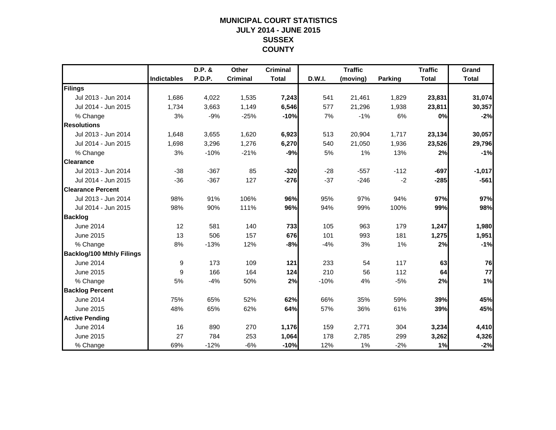## **MUNICIPAL COURT STATISTICSJULY 2014 - JUNE 2015 SUSSEX COUNTY**

|                                  |                    | D.P. & | Other           | <b>Criminal</b> |        | <b>Traffic</b> |         | <b>Traffic</b> | Grand        |
|----------------------------------|--------------------|--------|-----------------|-----------------|--------|----------------|---------|----------------|--------------|
|                                  | <b>Indictables</b> | P.D.P. | <b>Criminal</b> | <b>Total</b>    | D.W.I. | (moving)       | Parking | <b>Total</b>   | <b>Total</b> |
| Filings                          |                    |        |                 |                 |        |                |         |                |              |
| Jul 2013 - Jun 2014              | 1,686              | 4,022  | 1,535           | 7,243           | 541    | 21,461         | 1,829   | 23,831         | 31,074       |
| Jul 2014 - Jun 2015              | 1,734              | 3,663  | 1,149           | 6,546           | 577    | 21,296         | 1,938   | 23,811         | 30,357       |
| % Change                         | 3%                 | $-9%$  | $-25%$          | $-10%$          | 7%     | $-1%$          | 6%      | 0%             | $-2%$        |
| <b>Resolutions</b>               |                    |        |                 |                 |        |                |         |                |              |
| Jul 2013 - Jun 2014              | 1,648              | 3,655  | 1,620           | 6,923           | 513    | 20,904         | 1,717   | 23,134         | 30,057       |
| Jul 2014 - Jun 2015              | 1,698              | 3,296  | 1,276           | 6,270           | 540    | 21,050         | 1,936   | 23,526         | 29,796       |
| % Change                         | 3%                 | $-10%$ | $-21%$          | $-9%$           | 5%     | 1%             | 13%     | 2%             | $-1%$        |
| <b>Clearance</b>                 |                    |        |                 |                 |        |                |         |                |              |
| Jul 2013 - Jun 2014              | $-38$              | $-367$ | 85              | $-320$          | $-28$  | $-557$         | $-112$  | $-697$         | $-1,017$     |
| Jul 2014 - Jun 2015              | $-36$              | $-367$ | 127             | $-276$          | $-37$  | $-246$         | $-2$    | $-285$         | $-561$       |
| <b>Clearance Percent</b>         |                    |        |                 |                 |        |                |         |                |              |
| Jul 2013 - Jun 2014              | 98%                | 91%    | 106%            | 96%             | 95%    | 97%            | 94%     | 97%            | 97%          |
| Jul 2014 - Jun 2015              | 98%                | 90%    | 111%            | 96%             | 94%    | 99%            | 100%    | 99%            | 98%          |
| <b>Backlog</b>                   |                    |        |                 |                 |        |                |         |                |              |
| <b>June 2014</b>                 | 12                 | 581    | 140             | 733             | 105    | 963            | 179     | 1,247          | 1,980        |
| June 2015                        | 13                 | 506    | 157             | 676             | 101    | 993            | 181     | 1,275          | 1,951        |
| % Change                         | 8%                 | $-13%$ | 12%             | $-8%$           | $-4%$  | 3%             | 1%      | 2%             | $-1%$        |
| <b>Backlog/100 Mthly Filings</b> |                    |        |                 |                 |        |                |         |                |              |
| June 2014                        | 9                  | 173    | 109             | 121             | 233    | 54             | 117     | 63             | 76           |
| June 2015                        | 9                  | 166    | 164             | 124             | 210    | 56             | 112     | 64             | 77           |
| % Change                         | 5%                 | $-4%$  | 50%             | 2%              | $-10%$ | 4%             | $-5%$   | 2%             | 1%           |
| <b>Backlog Percent</b>           |                    |        |                 |                 |        |                |         |                |              |
| <b>June 2014</b>                 | 75%                | 65%    | 52%             | 62%             | 66%    | 35%            | 59%     | 39%            | 45%          |
| June 2015                        | 48%                | 65%    | 62%             | 64%             | 57%    | 36%            | 61%     | 39%            | 45%          |
| <b>Active Pending</b>            |                    |        |                 |                 |        |                |         |                |              |
| June 2014                        | 16                 | 890    | 270             | 1,176           | 159    | 2,771          | 304     | 3,234          | 4,410        |
| June 2015                        | 27                 | 784    | 253             | 1,064           | 178    | 2,785          | 299     | 3,262          | 4,326        |
| % Change                         | 69%                | $-12%$ | $-6%$           | $-10%$          | 12%    | 1%             | $-2%$   | 1%             | $-2%$        |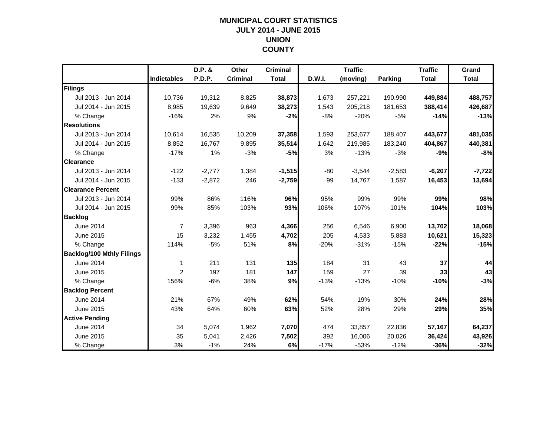## **MUNICIPAL COURT STATISTICSJULY 2014 - JUNE 2015 UNION COUNTY**

|                                  |                    | D.P. &        | Other           | <b>Criminal</b> |        | <b>Traffic</b> |                | <b>Traffic</b> | Grand        |
|----------------------------------|--------------------|---------------|-----------------|-----------------|--------|----------------|----------------|----------------|--------------|
|                                  | <b>Indictables</b> | <b>P.D.P.</b> | <b>Criminal</b> | <b>Total</b>    | D.W.I. | (moving)       | <b>Parking</b> | <b>Total</b>   | <b>Total</b> |
| Filings                          |                    |               |                 |                 |        |                |                |                |              |
| Jul 2013 - Jun 2014              | 10,736             | 19,312        | 8,825           | 38,873          | 1,673  | 257,221        | 190,990        | 449,884        | 488,757      |
| Jul 2014 - Jun 2015              | 8,985              | 19.639        | 9,649           | 38,273          | 1,543  | 205,218        | 181,653        | 388,414        | 426,687      |
| % Change                         | $-16%$             | 2%            | 9%              | $-2%$           | $-8%$  | $-20%$         | $-5%$          | $-14%$         | $-13%$       |
| <b>Resolutions</b>               |                    |               |                 |                 |        |                |                |                |              |
| Jul 2013 - Jun 2014              | 10,614             | 16,535        | 10,209          | 37,358          | 1,593  | 253,677        | 188,407        | 443,677        | 481,035      |
| Jul 2014 - Jun 2015              | 8,852              | 16,767        | 9,895           | 35,514          | 1,642  | 219,985        | 183,240        | 404,867        | 440,381      |
| % Change                         | $-17%$             | 1%            | $-3%$           | $-5%$           | 3%     | $-13%$         | $-3%$          | $-9%$          | $-8%$        |
| <b>Clearance</b>                 |                    |               |                 |                 |        |                |                |                |              |
| Jul 2013 - Jun 2014              | $-122$             | $-2,777$      | 1,384           | $-1,515$        | $-80$  | $-3,544$       | $-2,583$       | $-6,207$       | $-7,722$     |
| Jul 2014 - Jun 2015              | $-133$             | $-2,872$      | 246             | $-2,759$        | 99     | 14,767         | 1,587          | 16,453         | 13,694       |
| <b>Clearance Percent</b>         |                    |               |                 |                 |        |                |                |                |              |
| Jul 2013 - Jun 2014              | 99%                | 86%           | 116%            | 96%             | 95%    | 99%            | 99%            | 99%            | 98%          |
| Jul 2014 - Jun 2015              | 99%                | 85%           | 103%            | 93%             | 106%   | 107%           | 101%           | 104%           | 103%         |
| <b>Backlog</b>                   |                    |               |                 |                 |        |                |                |                |              |
| <b>June 2014</b>                 | $\overline{7}$     | 3,396         | 963             | 4,366           | 256    | 6,546          | 6,900          | 13,702         | 18,068       |
| June 2015                        | 15                 | 3,232         | 1,455           | 4,702           | 205    | 4,533          | 5,883          | 10,621         | 15,323       |
| % Change                         | 114%               | $-5%$         | 51%             | 8%              | $-20%$ | $-31%$         | $-15%$         | $-22%$         | $-15%$       |
| <b>Backlog/100 Mthly Filings</b> |                    |               |                 |                 |        |                |                |                |              |
| <b>June 2014</b>                 | 1                  | 211           | 131             | 135             | 184    | 31             | 43             | 37             | 44           |
| June 2015                        | 2                  | 197           | 181             | 147             | 159    | 27             | 39             | 33             | 43           |
| % Change                         | 156%               | $-6%$         | 38%             | 9%              | $-13%$ | $-13%$         | $-10%$         | $-10%$         | $-3%$        |
| <b>Backlog Percent</b>           |                    |               |                 |                 |        |                |                |                |              |
| June 2014                        | 21%                | 67%           | 49%             | 62%             | 54%    | 19%            | 30%            | 24%            | 28%          |
| June 2015                        | 43%                | 64%           | 60%             | 63%             | 52%    | 28%            | 29%            | 29%            | 35%          |
| <b>Active Pending</b>            |                    |               |                 |                 |        |                |                |                |              |
| June 2014                        | 34                 | 5,074         | 1,962           | 7,070           | 474    | 33,857         | 22,836         | 57,167         | 64,237       |
| June 2015                        | 35                 | 5,041         | 2,426           | 7,502           | 392    | 16,006         | 20,026         | 36,424         | 43,926       |
| % Change                         | 3%                 | $-1%$         | 24%             | 6%              | $-17%$ | $-53%$         | $-12%$         | $-36%$         | $-32%$       |